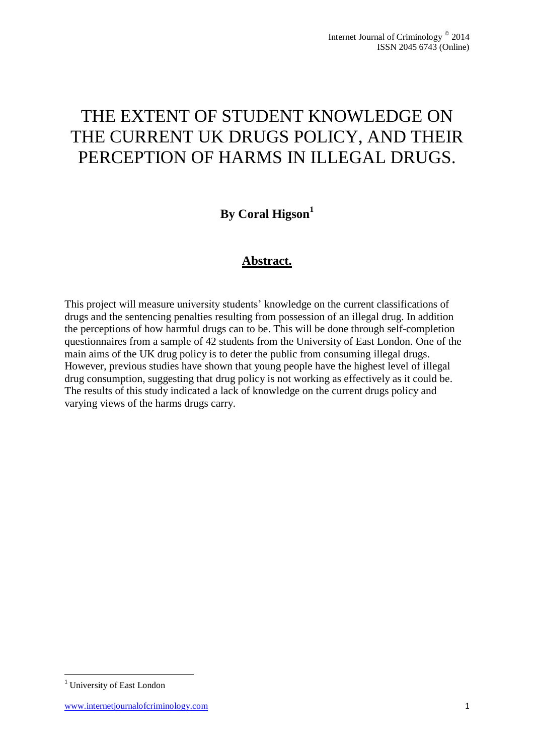# THE EXTENT OF STUDENT KNOWLEDGE ON THE CURRENT UK DRUGS POLICY, AND THEIR PERCEPTION OF HARMS IN ILLEGAL DRUGS.

## **By Coral Higson 1**

## **Abstract.**

This project will measure university students' knowledge on the current classifications of drugs and the sentencing penalties resulting from possession of an illegal drug. In addition the perceptions of how harmful drugs can to be. This will be done through self-completion questionnaires from a sample of 42 students from the University of East London. One of the main aims of the UK drug policy is to deter the public from consuming illegal drugs. However, previous studies have shown that young people have the highest level of illegal drug consumption, suggesting that drug policy is not working as effectively as it could be. The results of this study indicated a lack of knowledge on the current drugs policy and varying views of the harms drugs carry.

1

<sup>1</sup> University of East London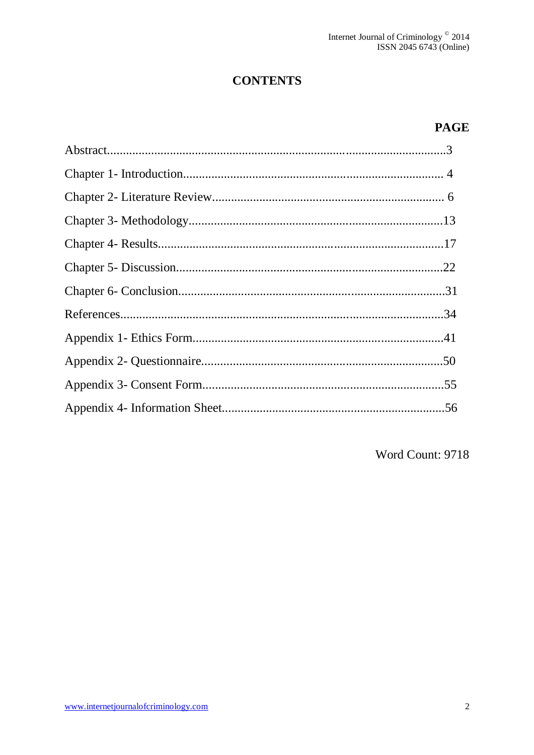## **CONTENTS**

## **PAGE**

Word Count: 9718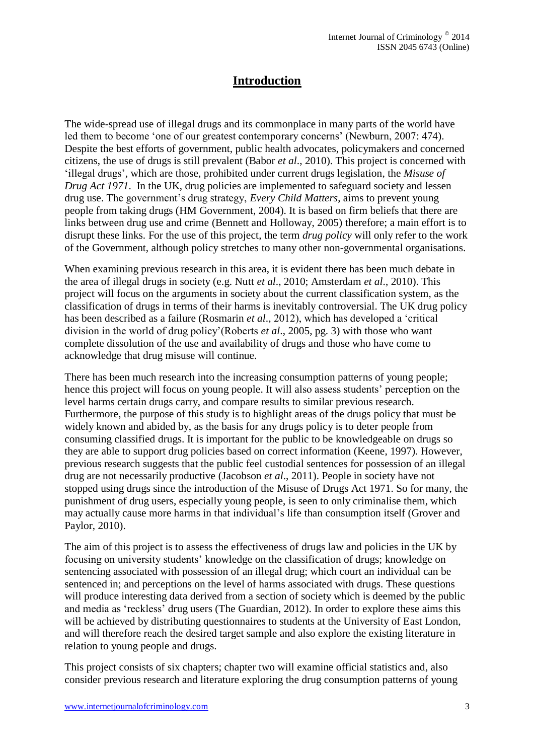## **Introduction**

The wide-spread use of illegal drugs and its commonplace in many parts of the world have led them to become 'one of our greatest contemporary concerns' (Newburn, 2007: 474). Despite the best efforts of government, public health advocates, policymakers and concerned citizens, the use of drugs is still prevalent (Babor *et al*., 2010). This project is concerned with 'illegal drugs', which are those, prohibited under current drugs legislation, the *Misuse of Drug Act 1971*. In the UK, drug policies are implemented to safeguard society and lessen drug use. The government's drug strategy, *Every Child Matters*, aims to prevent young people from taking drugs (HM Government, 2004). It is based on firm beliefs that there are links between drug use and crime (Bennett and Holloway, 2005) therefore; a main effort is to disrupt these links. For the use of this project, the term *drug policy* will only refer to the work of the Government, although policy stretches to many other non-governmental organisations.

When examining previous research in this area, it is evident there has been much debate in the area of illegal drugs in society (e.g. Nutt *et al*., 2010; Amsterdam *et al*., 2010). This project will focus on the arguments in society about the current classification system, as the classification of drugs in terms of their harms is inevitably controversial. The UK drug policy has been described as a failure (Rosmarin *et al*., 2012), which has developed a 'critical division in the world of drug policy'(Roberts *et al*., 2005, pg. 3) with those who want complete dissolution of the use and availability of drugs and those who have come to acknowledge that drug misuse will continue.

There has been much research into the increasing consumption patterns of young people; hence this project will focus on young people. It will also assess students' perception on the level harms certain drugs carry, and compare results to similar previous research. Furthermore, the purpose of this study is to highlight areas of the drugs policy that must be widely known and abided by, as the basis for any drugs policy is to deter people from consuming classified drugs. It is important for the public to be knowledgeable on drugs so they are able to support drug policies based on correct information (Keene, 1997). However, previous research suggests that the public feel custodial sentences for possession of an illegal drug are not necessarily productive (Jacobson *et al*., 2011). People in society have not stopped using drugs since the introduction of the Misuse of Drugs Act 1971. So for many, the punishment of drug users, especially young people, is seen to only criminalise them, which may actually cause more harms in that individual's life than consumption itself (Grover and Paylor, 2010).

The aim of this project is to assess the effectiveness of drugs law and policies in the UK by focusing on university students' knowledge on the classification of drugs; knowledge on sentencing associated with possession of an illegal drug; which court an individual can be sentenced in; and perceptions on the level of harms associated with drugs. These questions will produce interesting data derived from a section of society which is deemed by the public and media as 'reckless' drug users (The Guardian, 2012). In order to explore these aims this will be achieved by distributing questionnaires to students at the University of East London, and will therefore reach the desired target sample and also explore the existing literature in relation to young people and drugs.

This project consists of six chapters; chapter two will examine official statistics and, also consider previous research and literature exploring the drug consumption patterns of young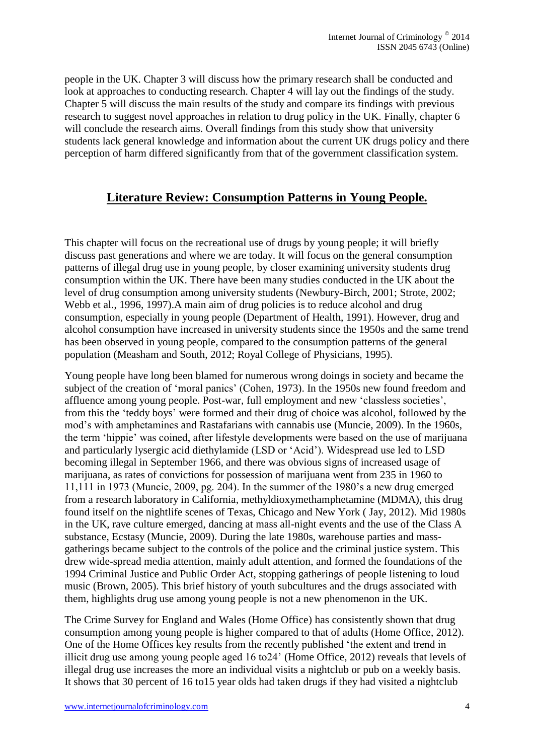people in the UK. Chapter 3 will discuss how the primary research shall be conducted and look at approaches to conducting research. Chapter 4 will lay out the findings of the study. Chapter 5 will discuss the main results of the study and compare its findings with previous research to suggest novel approaches in relation to drug policy in the UK. Finally, chapter 6 will conclude the research aims. Overall findings from this study show that university students lack general knowledge and information about the current UK drugs policy and there perception of harm differed significantly from that of the government classification system.

## **Literature Review: Consumption Patterns in Young People.**

This chapter will focus on the recreational use of drugs by young people; it will briefly discuss past generations and where we are today. It will focus on the general consumption patterns of illegal drug use in young people, by closer examining university students drug consumption within the UK. There have been many studies conducted in the UK about the level of drug consumption among university students (Newbury-Birch, 2001; Strote, 2002; Webb et al., 1996, 1997).A main aim of drug policies is to reduce alcohol and drug consumption, especially in young people (Department of Health, 1991). However, drug and alcohol consumption have increased in university students since the 1950s and the same trend has been observed in young people, compared to the consumption patterns of the general population (Measham and South, 2012; Royal College of Physicians, 1995).

Young people have long been blamed for numerous wrong doings in society and became the subject of the creation of 'moral panics' (Cohen, 1973). In the 1950s new found freedom and affluence among young people. Post-war, full employment and new 'classless societies', from this the 'teddy boys' were formed and their drug of choice was alcohol, followed by the mod's with amphetamines and Rastafarians with cannabis use (Muncie, 2009). In the 1960s, the term 'hippie' was coined, after lifestyle developments were based on the use of marijuana and particularly lysergic acid diethylamide (LSD or 'Acid'). Widespread use led to LSD becoming illegal in September 1966, and there was obvious signs of increased usage of marijuana, as rates of convictions for possession of marijuana went from 235 in 1960 to 11,111 in 1973 (Muncie, 2009, pg. 204). In the summer of the 1980's a new drug emerged from a research laboratory in California, methyldioxymethamphetamine (MDMA), this drug found itself on the nightlife scenes of Texas, Chicago and New York ( Jay, 2012). Mid 1980s in the UK, rave culture emerged, dancing at mass all-night events and the use of the Class A substance, Ecstasy (Muncie, 2009). During the late 1980s, warehouse parties and massgatherings became subject to the controls of the police and the criminal justice system. This drew wide-spread media attention, mainly adult attention, and formed the foundations of the 1994 Criminal Justice and Public Order Act, stopping gatherings of people listening to loud music (Brown, 2005). This brief history of youth subcultures and the drugs associated with them, highlights drug use among young people is not a new phenomenon in the UK.

The Crime Survey for England and Wales (Home Office) has consistently shown that drug consumption among young people is higher compared to that of adults (Home Office, 2012). One of the Home Offices key results from the recently published 'the extent and trend in illicit drug use among young people aged 16 to24' (Home Office, 2012) reveals that levels of illegal drug use increases the more an individual visits a nightclub or pub on a weekly basis. It shows that 30 percent of 16 to15 year olds had taken drugs if they had visited a nightclub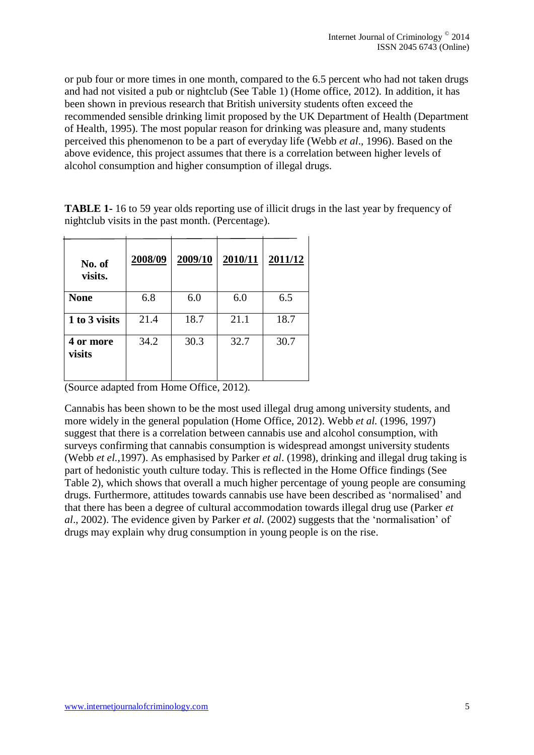or pub four or more times in one month, compared to the 6.5 percent who had not taken drugs and had not visited a pub or nightclub (See Table 1) (Home office, 2012). In addition, it has been shown in previous research that British university students often exceed the recommended sensible drinking limit proposed by the UK Department of Health (Department of Health, 1995). The most popular reason for drinking was pleasure and, many students perceived this phenomenon to be a part of everyday life (Webb *et al*., 1996). Based on the above evidence, this project assumes that there is a correlation between higher levels of alcohol consumption and higher consumption of illegal drugs.

| No. of<br>visits.   | 2008/09 | 2009/10 | 2010/11 | 2011/12 |
|---------------------|---------|---------|---------|---------|
| <b>None</b>         | 6.8     | 6.0     | 6.0     | 6.5     |
| 1 to 3 visits       | 21.4    | 18.7    | 21.1    | 18.7    |
| 4 or more<br>visits | 34.2    | 30.3    | 32.7    | 30.7    |

**TABLE 1-** 16 to 59 year olds reporting use of illicit drugs in the last year by frequency of nightclub visits in the past month. (Percentage).

(Source adapted from Home Office, 2012).

Cannabis has been shown to be the most used illegal drug among university students, and more widely in the general population (Home Office, 2012). Webb *et al.* (1996, 1997) suggest that there is a correlation between cannabis use and alcohol consumption, with surveys confirming that cannabis consumption is widespread amongst university students (Webb *et el.,*1997). As emphasised by Parker *et al*. (1998), drinking and illegal drug taking is part of hedonistic youth culture today. This is reflected in the Home Office findings (See Table 2), which shows that overall a much higher percentage of young people are consuming drugs. Furthermore, attitudes towards cannabis use have been described as 'normalised' and that there has been a degree of cultural accommodation towards illegal drug use (Parker *et al*., 2002). The evidence given by Parker *et al.* (2002) suggests that the 'normalisation' of drugs may explain why drug consumption in young people is on the rise.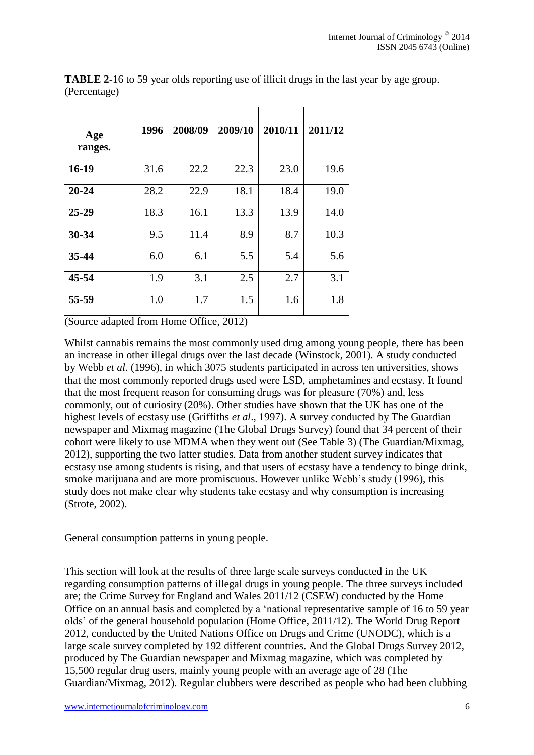| Age<br>ranges. | 1996 | 2008/09 | 2009/10 | 2010/11 | 2011/12 |
|----------------|------|---------|---------|---------|---------|
| $16-19$        | 31.6 | 22.2    | 22.3    | 23.0    | 19.6    |
| $20 - 24$      | 28.2 | 22.9    | 18.1    | 18.4    | 19.0    |
| $25 - 29$      | 18.3 | 16.1    | 13.3    | 13.9    | 14.0    |
| 30-34          | 9.5  | 11.4    | 8.9     | 8.7     | 10.3    |
| 35-44          | 6.0  | 6.1     | 5.5     | 5.4     | 5.6     |
| $45 - 54$      | 1.9  | 3.1     | 2.5     | 2.7     | 3.1     |
| 55-59          | 1.0  | 1.7     | 1.5     | 1.6     | 1.8     |

**TABLE 2-**16 to 59 year olds reporting use of illicit drugs in the last year by age group. (Percentage)

(Source adapted from Home Office, 2012)

Whilst cannabis remains the most commonly used drug among young people, there has been an increase in other illegal drugs over the last decade (Winstock, 2001). A study conducted by Webb *et al*. (1996), in which 3075 students participated in across ten universities, shows that the most commonly reported drugs used were LSD, amphetamines and ecstasy. It found that the most frequent reason for consuming drugs was for pleasure (70%) and, less commonly, out of curiosity (20%). Other studies have shown that the UK has one of the highest levels of ecstasy use (Griffiths *et al*., 1997). A survey conducted by The Guardian newspaper and Mixmag magazine (The Global Drugs Survey) found that 34 percent of their cohort were likely to use MDMA when they went out (See Table 3) (The Guardian/Mixmag, 2012), supporting the two latter studies. Data from another student survey indicates that ecstasy use among students is rising, and that users of ecstasy have a tendency to binge drink, smoke marijuana and are more promiscuous. However unlike Webb's study (1996), this study does not make clear why students take ecstasy and why consumption is increasing (Strote, 2002).

## General consumption patterns in young people.

This section will look at the results of three large scale surveys conducted in the UK regarding consumption patterns of illegal drugs in young people. The three surveys included are; the Crime Survey for England and Wales 2011/12 (CSEW) conducted by the Home Office on an annual basis and completed by a 'national representative sample of 16 to 59 year olds' of the general household population (Home Office, 2011/12). The World Drug Report 2012, conducted by the United Nations Office on Drugs and Crime (UNODC), which is a large scale survey completed by 192 different countries. And the Global Drugs Survey 2012, produced by The Guardian newspaper and Mixmag magazine, which was completed by 15,500 regular drug users, mainly young people with an average age of 28 (The Guardian/Mixmag, 2012). Regular clubbers were described as people who had been clubbing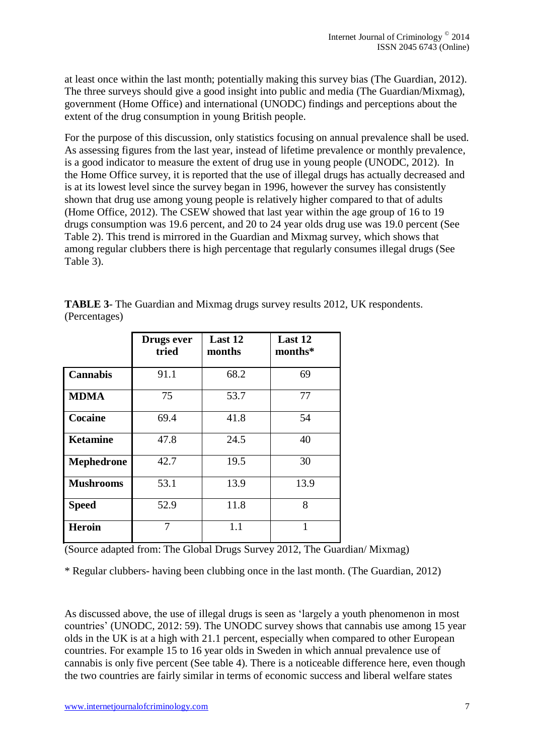at least once within the last month; potentially making this survey bias (The Guardian, 2012). The three surveys should give a good insight into public and media (The Guardian/Mixmag), government (Home Office) and international (UNODC) findings and perceptions about the extent of the drug consumption in young British people.

For the purpose of this discussion, only statistics focusing on annual prevalence shall be used. As assessing figures from the last year, instead of lifetime prevalence or monthly prevalence, is a good indicator to measure the extent of drug use in young people (UNODC, 2012). In the Home Office survey, it is reported that the use of illegal drugs has actually decreased and is at its lowest level since the survey began in 1996, however the survey has consistently shown that drug use among young people is relatively higher compared to that of adults (Home Office, 2012). The CSEW showed that last year within the age group of 16 to 19 drugs consumption was 19.6 percent, and 20 to 24 year olds drug use was 19.0 percent (See Table 2). This trend is mirrored in the Guardian and Mixmag survey, which shows that among regular clubbers there is high percentage that regularly consumes illegal drugs (See Table 3).

|                  | Drugs ever<br>tried | Last 12<br>months | Last 12<br>months* |
|------------------|---------------------|-------------------|--------------------|
| <b>Cannabis</b>  | 91.1                | 68.2              | 69                 |
| <b>MDMA</b>      | 75                  | 53.7              | 77                 |
| Cocaine          | 69.4                | 41.8              | 54                 |
| <b>Ketamine</b>  | 47.8                | 24.5              | 40                 |
| Mephedrone       | 42.7                | 19.5              | 30                 |
| <b>Mushrooms</b> | 53.1                | 13.9              | 13.9               |
| <b>Speed</b>     | 52.9                | 11.8              | 8                  |
| <b>Heroin</b>    | 7                   | 1.1               | 1                  |

**TABLE 3**- The Guardian and Mixmag drugs survey results 2012, UK respondents. (Percentages)

(Source adapted from: The Global Drugs Survey 2012, The Guardian/ Mixmag)

\* Regular clubbers- having been clubbing once in the last month. (The Guardian, 2012)

As discussed above, the use of illegal drugs is seen as 'largely a youth phenomenon in most countries' (UNODC, 2012: 59). The UNODC survey shows that cannabis use among 15 year olds in the UK is at a high with 21.1 percent, especially when compared to other European countries. For example 15 to 16 year olds in Sweden in which annual prevalence use of cannabis is only five percent (See table 4). There is a noticeable difference here, even though the two countries are fairly similar in terms of economic success and liberal welfare states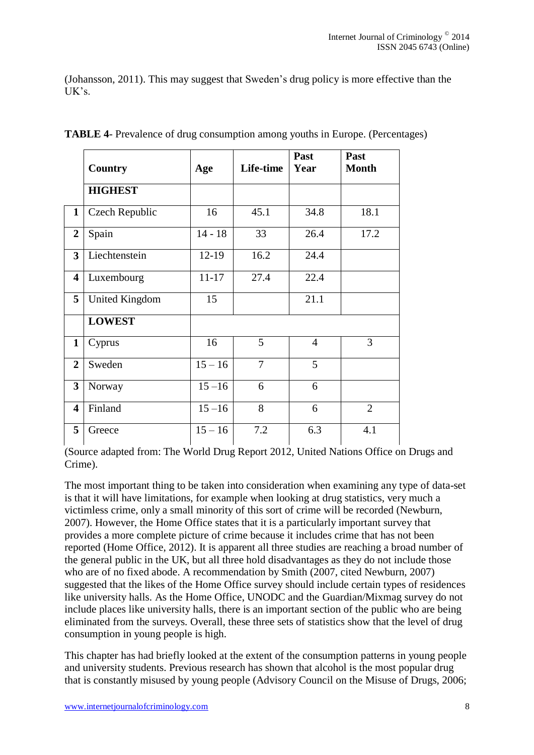(Johansson, 2011). This may suggest that Sweden's drug policy is more effective than the  $UK's$ .

|                         | <b>Country</b> | Age       | Life-time      | Past<br>Year   | Past<br><b>Month</b> |
|-------------------------|----------------|-----------|----------------|----------------|----------------------|
|                         | <b>HIGHEST</b> |           |                |                |                      |
| $\mathbf{1}$            | Czech Republic | 16        | 45.1           | 34.8           | 18.1                 |
| $\boldsymbol{2}$        | Spain          | $14 - 18$ | 33             | 26.4           | 17.2                 |
| $\overline{\mathbf{3}}$ | Liechtenstein  | $12 - 19$ | 16.2           | 24.4           |                      |
| $\overline{\mathbf{4}}$ | Luxembourg     | $11 - 17$ | 27.4           | 22.4           |                      |
| 5                       | United Kingdom | 15        |                | 21.1           |                      |
|                         | <b>LOWEST</b>  |           |                |                |                      |
| $\mathbf{1}$            | Cyprus         | 16        | 5              | $\overline{4}$ | $\overline{3}$       |
| $\overline{2}$          | Sweden         | $15 - 16$ | $\overline{7}$ | 5              |                      |
| $\overline{\mathbf{3}}$ | Norway         | $15 - 16$ | 6              | 6              |                      |
| $\overline{\mathbf{4}}$ | Finland        | $15 - 16$ | 8              | 6              | $\overline{2}$       |
| 5                       | Greece         | $15 - 16$ | 7.2            | 6.3            | 4.1                  |

**TABLE 4**- Prevalence of drug consumption among youths in Europe. (Percentages)

(Source adapted from: The World Drug Report 2012, United Nations Office on Drugs and Crime).

The most important thing to be taken into consideration when examining any type of data-set is that it will have limitations, for example when looking at drug statistics, very much a victimless crime, only a small minority of this sort of crime will be recorded (Newburn, 2007). However, the Home Office states that it is a particularly important survey that provides a more complete picture of crime because it includes crime that has not been reported (Home Office, 2012). It is apparent all three studies are reaching a broad number of the general public in the UK, but all three hold disadvantages as they do not include those who are of no fixed abode. A recommendation by Smith (2007, cited Newburn, 2007) suggested that the likes of the Home Office survey should include certain types of residences like university halls. As the Home Office, UNODC and the Guardian/Mixmag survey do not include places like university halls, there is an important section of the public who are being eliminated from the surveys. Overall, these three sets of statistics show that the level of drug consumption in young people is high.

This chapter has had briefly looked at the extent of the consumption patterns in young people and university students. Previous research has shown that alcohol is the most popular drug that is constantly misused by young people (Advisory Council on the Misuse of Drugs, 2006;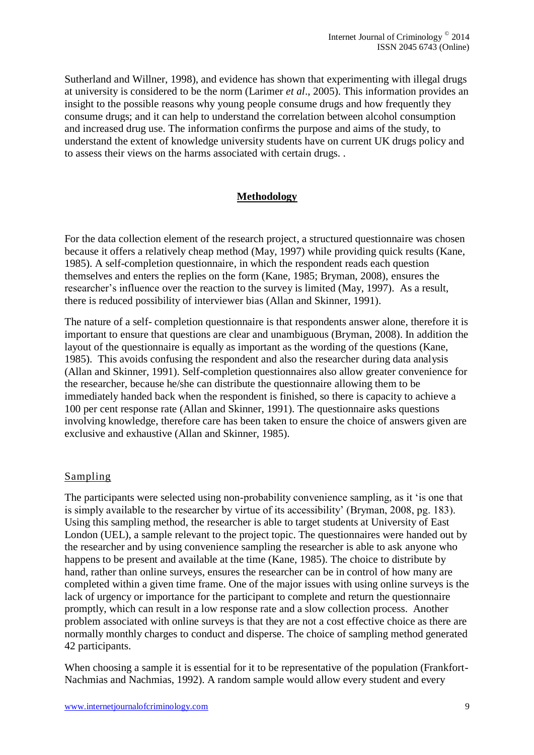Sutherland and Willner, 1998), and evidence has shown that experimenting with illegal drugs at university is considered to be the norm (Larimer *et al*., 2005). This information provides an insight to the possible reasons why young people consume drugs and how frequently they consume drugs; and it can help to understand the correlation between alcohol consumption and increased drug use. The information confirms the purpose and aims of the study, to understand the extent of knowledge university students have on current UK drugs policy and to assess their views on the harms associated with certain drugs. .

## **Methodology**

For the data collection element of the research project, a structured questionnaire was chosen because it offers a relatively cheap method (May, 1997) while providing quick results (Kane, 1985). A self-completion questionnaire, in which the respondent reads each question themselves and enters the replies on the form (Kane, 1985; Bryman, 2008), ensures the researcher's influence over the reaction to the survey is limited (May, 1997). As a result, there is reduced possibility of interviewer bias (Allan and Skinner, 1991).

The nature of a self- completion questionnaire is that respondents answer alone, therefore it is important to ensure that questions are clear and unambiguous (Bryman, 2008). In addition the layout of the questionnaire is equally as important as the wording of the questions (Kane, 1985). This avoids confusing the respondent and also the researcher during data analysis (Allan and Skinner, 1991). Self-completion questionnaires also allow greater convenience for the researcher, because he/she can distribute the questionnaire allowing them to be immediately handed back when the respondent is finished, so there is capacity to achieve a 100 per cent response rate (Allan and Skinner, 1991). The questionnaire asks questions involving knowledge, therefore care has been taken to ensure the choice of answers given are exclusive and exhaustive (Allan and Skinner, 1985).

## Sampling

The participants were selected using non-probability convenience sampling, as it 'is one that is simply available to the researcher by virtue of its accessibility' (Bryman, 2008, pg. 183). Using this sampling method, the researcher is able to target students at University of East London (UEL), a sample relevant to the project topic. The questionnaires were handed out by the researcher and by using convenience sampling the researcher is able to ask anyone who happens to be present and available at the time (Kane, 1985). The choice to distribute by hand, rather than online surveys, ensures the researcher can be in control of how many are completed within a given time frame. One of the major issues with using online surveys is the lack of urgency or importance for the participant to complete and return the questionnaire promptly, which can result in a low response rate and a slow collection process. Another problem associated with online surveys is that they are not a cost effective choice as there are normally monthly charges to conduct and disperse. The choice of sampling method generated 42 participants.

When choosing a sample it is essential for it to be representative of the population (Frankfort-Nachmias and Nachmias, 1992). A random sample would allow every student and every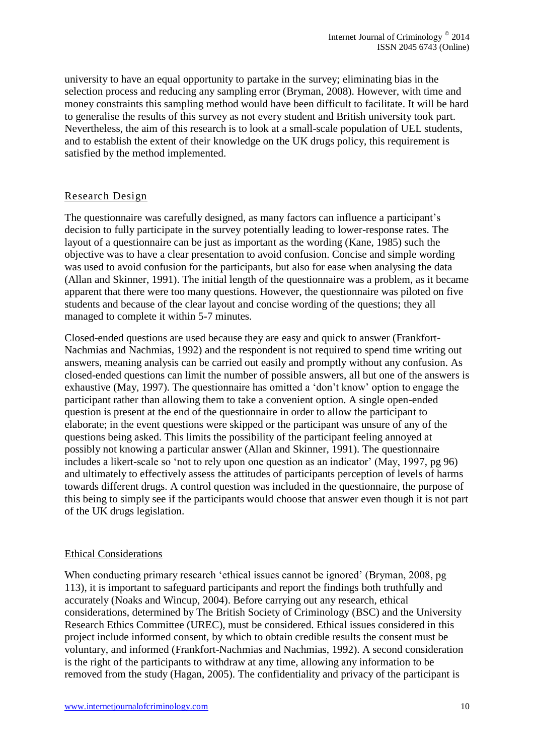university to have an equal opportunity to partake in the survey; eliminating bias in the selection process and reducing any sampling error (Bryman, 2008). However, with time and money constraints this sampling method would have been difficult to facilitate. It will be hard to generalise the results of this survey as not every student and British university took part. Nevertheless, the aim of this research is to look at a small-scale population of UEL students, and to establish the extent of their knowledge on the UK drugs policy, this requirement is satisfied by the method implemented.

## Research Design

The questionnaire was carefully designed, as many factors can influence a participant's decision to fully participate in the survey potentially leading to lower-response rates. The layout of a questionnaire can be just as important as the wording (Kane, 1985) such the objective was to have a clear presentation to avoid confusion. Concise and simple wording was used to avoid confusion for the participants, but also for ease when analysing the data (Allan and Skinner, 1991). The initial length of the questionnaire was a problem, as it became apparent that there were too many questions. However, the questionnaire was piloted on five students and because of the clear layout and concise wording of the questions; they all managed to complete it within 5-7 minutes.

Closed-ended questions are used because they are easy and quick to answer (Frankfort-Nachmias and Nachmias, 1992) and the respondent is not required to spend time writing out answers, meaning analysis can be carried out easily and promptly without any confusion. As closed-ended questions can limit the number of possible answers, all but one of the answers is exhaustive (May, 1997). The questionnaire has omitted a 'don't know' option to engage the participant rather than allowing them to take a convenient option. A single open-ended question is present at the end of the questionnaire in order to allow the participant to elaborate; in the event questions were skipped or the participant was unsure of any of the questions being asked. This limits the possibility of the participant feeling annoyed at possibly not knowing a particular answer (Allan and Skinner, 1991). The questionnaire includes a likert-scale so 'not to rely upon one question as an indicator' (May, 1997, pg 96) and ultimately to effectively assess the attitudes of participants perception of levels of harms towards different drugs. A control question was included in the questionnaire, the purpose of this being to simply see if the participants would choose that answer even though it is not part of the UK drugs legislation.

## Ethical Considerations

When conducting primary research 'ethical issues cannot be ignored' (Bryman, 2008, pg 113), it is important to safeguard participants and report the findings both truthfully and accurately (Noaks and Wincup, 2004). Before carrying out any research, ethical considerations, determined by The British Society of Criminology (BSC) and the University Research Ethics Committee (UREC), must be considered. Ethical issues considered in this project include informed consent, by which to obtain credible results the consent must be voluntary, and informed (Frankfort-Nachmias and Nachmias, 1992). A second consideration is the right of the participants to withdraw at any time, allowing any information to be removed from the study (Hagan, 2005). The confidentiality and privacy of the participant is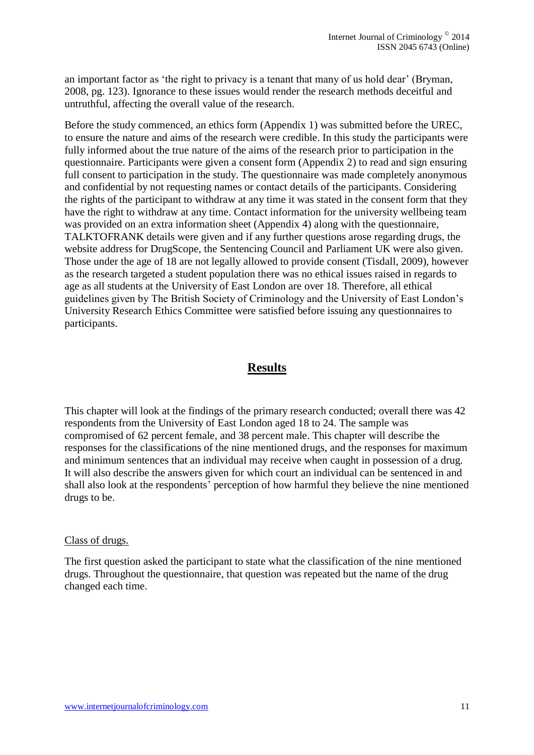an important factor as 'the right to privacy is a tenant that many of us hold dear' (Bryman, 2008, pg. 123). Ignorance to these issues would render the research methods deceitful and untruthful, affecting the overall value of the research.

Before the study commenced, an ethics form (Appendix 1) was submitted before the UREC, to ensure the nature and aims of the research were credible. In this study the participants were fully informed about the true nature of the aims of the research prior to participation in the questionnaire. Participants were given a consent form (Appendix 2) to read and sign ensuring full consent to participation in the study. The questionnaire was made completely anonymous and confidential by not requesting names or contact details of the participants. Considering the rights of the participant to withdraw at any time it was stated in the consent form that they have the right to withdraw at any time. Contact information for the university wellbeing team was provided on an extra information sheet (Appendix 4) along with the questionnaire, TALKTOFRANK details were given and if any further questions arose regarding drugs, the website address for DrugScope, the Sentencing Council and Parliament UK were also given. Those under the age of 18 are not legally allowed to provide consent (Tisdall, 2009), however as the research targeted a student population there was no ethical issues raised in regards to age as all students at the University of East London are over 18. Therefore, all ethical guidelines given by The British Society of Criminology and the University of East London's University Research Ethics Committee were satisfied before issuing any questionnaires to participants.

## **Results**

This chapter will look at the findings of the primary research conducted; overall there was 42 respondents from the University of East London aged 18 to 24. The sample was compromised of 62 percent female, and 38 percent male. This chapter will describe the responses for the classifications of the nine mentioned drugs, and the responses for maximum and minimum sentences that an individual may receive when caught in possession of a drug. It will also describe the answers given for which court an individual can be sentenced in and shall also look at the respondents' perception of how harmful they believe the nine mentioned drugs to be.

### Class of drugs.

The first question asked the participant to state what the classification of the nine mentioned drugs. Throughout the questionnaire, that question was repeated but the name of the drug changed each time.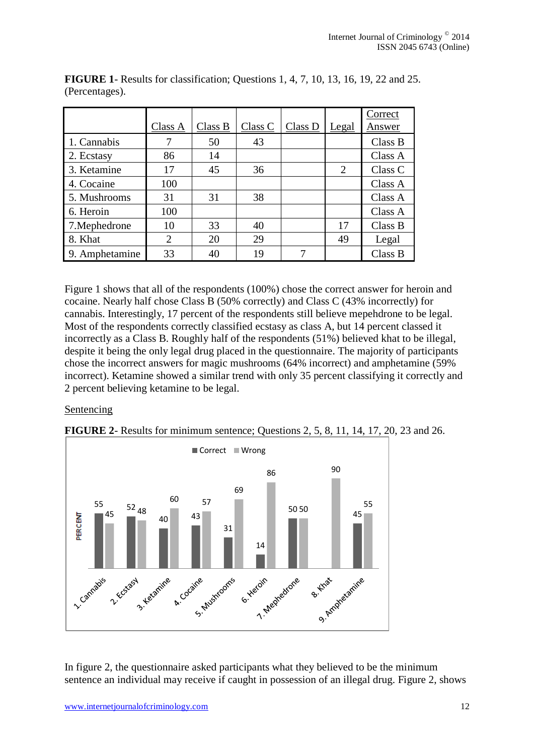|                |                |         |         |         |                | Correct |
|----------------|----------------|---------|---------|---------|----------------|---------|
|                | Class A        | Class B | Class C | Class D | Legal          | Answer  |
| 1. Cannabis    | 7              | 50      | 43      |         |                | Class B |
| 2. Ecstasy     | 86             | 14      |         |         |                | Class A |
| 3. Ketamine    | 17             | 45      | 36      |         | $\overline{2}$ | Class C |
| 4. Cocaine     | 100            |         |         |         |                | Class A |
| 5. Mushrooms   | 31             | 31      | 38      |         |                | Class A |
| 6. Heroin      | 100            |         |         |         |                | Class A |
| 7. Mephedrone  | 10             | 33      | 40      |         | 17             | Class B |
| 8. Khat        | $\overline{2}$ | 20      | 29      |         | 49             | Legal   |
| 9. Amphetamine | 33             | 40      | 19      |         |                | Class B |

**FIGURE 1**- Results for classification; Questions 1, 4, 7, 10, 13, 16, 19, 22 and 25. (Percentages).

Figure 1 shows that all of the respondents (100%) chose the correct answer for heroin and cocaine. Nearly half chose Class B (50% correctly) and Class C (43% incorrectly) for cannabis. Interestingly, 17 percent of the respondents still believe mepehdrone to be legal. Most of the respondents correctly classified ecstasy as class A, but 14 percent classed it incorrectly as a Class B. Roughly half of the respondents (51%) believed khat to be illegal, despite it being the only legal drug placed in the questionnaire. The majority of participants chose the incorrect answers for magic mushrooms (64% incorrect) and amphetamine (59% incorrect). Ketamine showed a similar trend with only 35 percent classifying it correctly and 2 percent believing ketamine to be legal.

Sentencing



**FIGURE 2**- Results for minimum sentence; Questions 2, 5, 8, 11, 14, 17, 20, 23 and 26.

In figure 2, the questionnaire asked participants what they believed to be the minimum sentence an individual may receive if caught in possession of an illegal drug. Figure 2, shows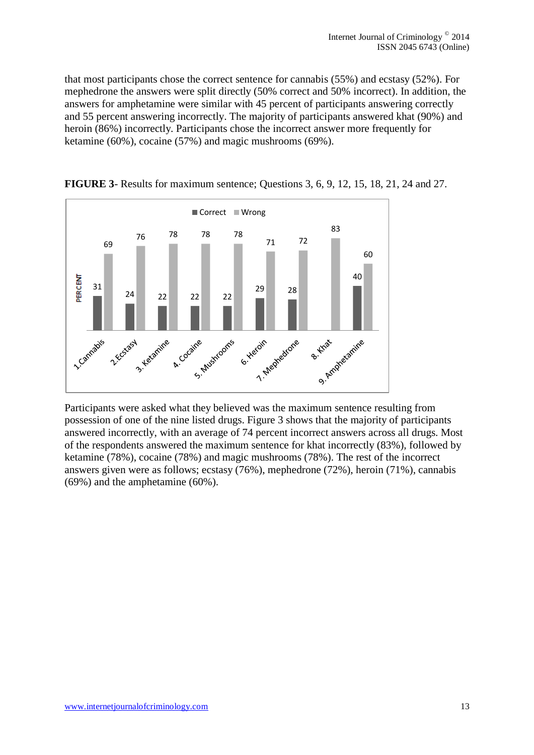that most participants chose the correct sentence for cannabis (55%) and ecstasy (52%). For mephedrone the answers were split directly (50% correct and 50% incorrect). In addition, the answers for amphetamine were similar with 45 percent of participants answering correctly and 55 percent answering incorrectly. The majority of participants answered khat (90%) and heroin (86%) incorrectly. Participants chose the incorrect answer more frequently for ketamine (60%), cocaine (57%) and magic mushrooms (69%).



**FIGURE 3**- Results for maximum sentence; Questions 3, 6, 9, 12, 15, 18, 21, 24 and 27.

Participants were asked what they believed was the maximum sentence resulting from possession of one of the nine listed drugs. Figure 3 shows that the majority of participants answered incorrectly, with an average of 74 percent incorrect answers across all drugs. Most of the respondents answered the maximum sentence for khat incorrectly (83%), followed by ketamine (78%), cocaine (78%) and magic mushrooms (78%). The rest of the incorrect answers given were as follows; ecstasy (76%), mephedrone (72%), heroin (71%), cannabis (69%) and the amphetamine (60%).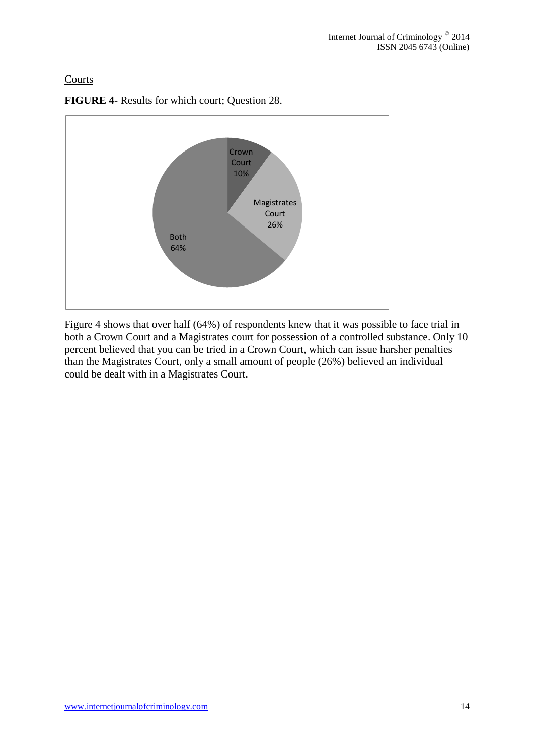## **Courts**



**FIGURE 4-** Results for which court; Question 28.

Figure 4 shows that over half (64%) of respondents knew that it was possible to face trial in both a Crown Court and a Magistrates court for possession of a controlled substance. Only 10 percent believed that you can be tried in a Crown Court, which can issue harsher penalties than the Magistrates Court, only a small amount of people (26%) believed an individual could be dealt with in a Magistrates Court.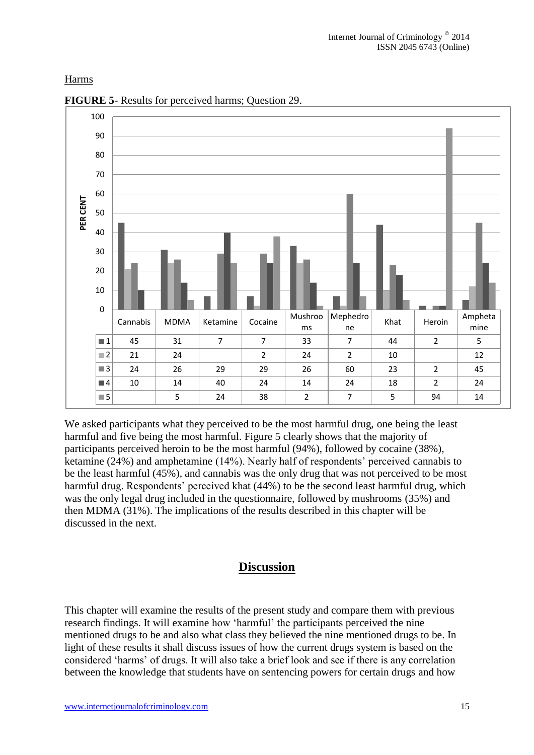## Harms



**FIGURE 5**- Results for perceived harms; Question 29.

We asked participants what they perceived to be the most harmful drug, one being the least harmful and five being the most harmful. Figure 5 clearly shows that the majority of participants perceived heroin to be the most harmful (94%), followed by cocaine (38%), ketamine (24%) and amphetamine (14%). Nearly half of respondents' perceived cannabis to be the least harmful (45%), and cannabis was the only drug that was not perceived to be most harmful drug. Respondents' perceived khat (44%) to be the second least harmful drug, which was the only legal drug included in the questionnaire, followed by mushrooms (35%) and then MDMA (31%). The implications of the results described in this chapter will be discussed in the next.

## **Discussion**

This chapter will examine the results of the present study and compare them with previous research findings. It will examine how 'harmful' the participants perceived the nine mentioned drugs to be and also what class they believed the nine mentioned drugs to be. In light of these results it shall discuss issues of how the current drugs system is based on the considered 'harms' of drugs. It will also take a brief look and see if there is any correlation between the knowledge that students have on sentencing powers for certain drugs and how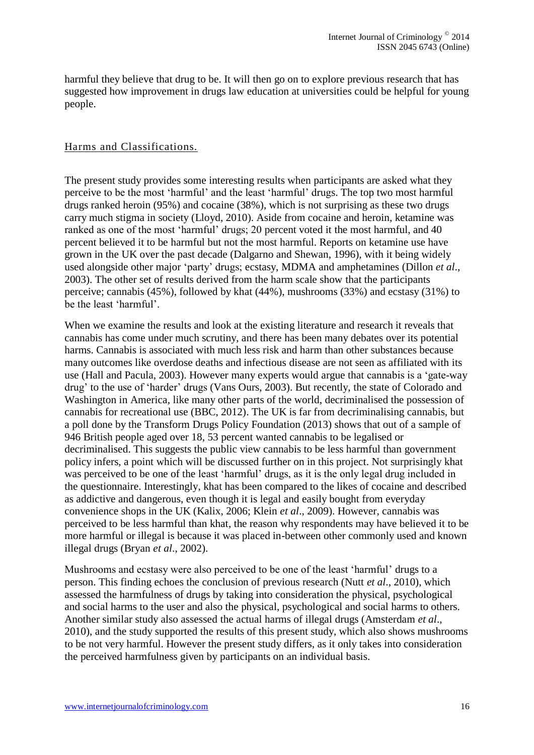harmful they believe that drug to be. It will then go on to explore previous research that has suggested how improvement in drugs law education at universities could be helpful for young people.

## Harms and Classifications.

The present study provides some interesting results when participants are asked what they perceive to be the most 'harmful' and the least 'harmful' drugs. The top two most harmful drugs ranked heroin (95%) and cocaine (38%), which is not surprising as these two drugs carry much stigma in society (Lloyd, 2010). Aside from cocaine and heroin, ketamine was ranked as one of the most 'harmful' drugs; 20 percent voted it the most harmful, and 40 percent believed it to be harmful but not the most harmful. Reports on ketamine use have grown in the UK over the past decade (Dalgarno and Shewan, 1996), with it being widely used alongside other major 'party' drugs; ecstasy, MDMA and amphetamines (Dillon *et al*., 2003). The other set of results derived from the harm scale show that the participants perceive; cannabis (45%), followed by khat (44%), mushrooms (33%) and ecstasy (31%) to be the least 'harmful'.

When we examine the results and look at the existing literature and research it reveals that cannabis has come under much scrutiny, and there has been many debates over its potential harms. Cannabis is associated with much less risk and harm than other substances because many outcomes like overdose deaths and infectious disease are not seen as affiliated with its use (Hall and Pacula, 2003). However many experts would argue that cannabis is a 'gate-way drug' to the use of 'harder' drugs (Vans Ours, 2003). But recently, the state of Colorado and Washington in America, like many other parts of the world, decriminalised the possession of cannabis for recreational use (BBC, 2012). The UK is far from decriminalising cannabis, but a poll done by the Transform Drugs Policy Foundation (2013) shows that out of a sample of 946 British people aged over 18, 53 percent wanted cannabis to be legalised or decriminalised. This suggests the public view cannabis to be less harmful than government policy infers, a point which will be discussed further on in this project. Not surprisingly khat was perceived to be one of the least 'harmful' drugs, as it is the only legal drug included in the questionnaire. Interestingly, khat has been compared to the likes of cocaine and described as addictive and dangerous, even though it is legal and easily bought from everyday convenience shops in the UK (Kalix, 2006; Klein *et al*., 2009). However, cannabis was perceived to be less harmful than khat, the reason why respondents may have believed it to be more harmful or illegal is because it was placed in-between other commonly used and known illegal drugs (Bryan *et al*., 2002).

Mushrooms and ecstasy were also perceived to be one of the least 'harmful' drugs to a person. This finding echoes the conclusion of previous research (Nutt *et al*., 2010), which assessed the harmfulness of drugs by taking into consideration the physical, psychological and social harms to the user and also the physical, psychological and social harms to others. Another similar study also assessed the actual harms of illegal drugs (Amsterdam *et al*., 2010), and the study supported the results of this present study, which also shows mushrooms to be not very harmful. However the present study differs, as it only takes into consideration the perceived harmfulness given by participants on an individual basis.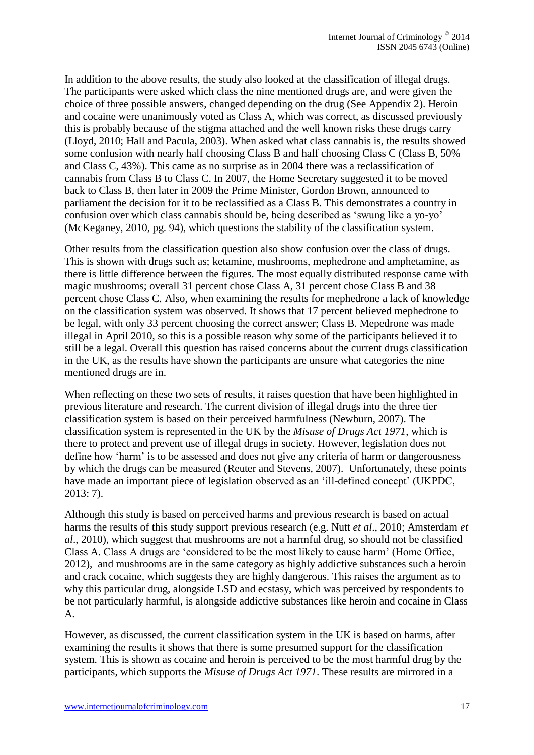In addition to the above results, the study also looked at the classification of illegal drugs. The participants were asked which class the nine mentioned drugs are, and were given the choice of three possible answers, changed depending on the drug (See Appendix 2). Heroin and cocaine were unanimously voted as Class A, which was correct, as discussed previously this is probably because of the stigma attached and the well known risks these drugs carry (Lloyd, 2010; Hall and Pacula, 2003). When asked what class cannabis is, the results showed some confusion with nearly half choosing Class B and half choosing Class C (Class B, 50% and Class C, 43%). This came as no surprise as in 2004 there was a reclassification of cannabis from Class B to Class C. In 2007, the Home Secretary suggested it to be moved back to Class B, then later in 2009 the Prime Minister, Gordon Brown, announced to parliament the decision for it to be reclassified as a Class B. This demonstrates a country in confusion over which class cannabis should be, being described as 'swung like a yo-yo' (McKeganey, 2010, pg. 94), which questions the stability of the classification system.

Other results from the classification question also show confusion over the class of drugs. This is shown with drugs such as; ketamine, mushrooms, mephedrone and amphetamine, as there is little difference between the figures. The most equally distributed response came with magic mushrooms; overall 31 percent chose Class A, 31 percent chose Class B and 38 percent chose Class C. Also, when examining the results for mephedrone a lack of knowledge on the classification system was observed. It shows that 17 percent believed mephedrone to be legal, with only 33 percent choosing the correct answer; Class B. Mepedrone was made illegal in April 2010, so this is a possible reason why some of the participants believed it to still be a legal. Overall this question has raised concerns about the current drugs classification in the UK, as the results have shown the participants are unsure what categories the nine mentioned drugs are in.

When reflecting on these two sets of results, it raises question that have been highlighted in previous literature and research. The current division of illegal drugs into the three tier classification system is based on their perceived harmfulness (Newburn, 2007). The classification system is represented in the UK by the *Misuse of Drugs Act 1971*, which is there to protect and prevent use of illegal drugs in society. However, legislation does not define how 'harm' is to be assessed and does not give any criteria of harm or dangerousness by which the drugs can be measured (Reuter and Stevens, 2007). Unfortunately, these points have made an important piece of legislation observed as an 'ill-defined concept' (UKPDC, 2013: 7).

Although this study is based on perceived harms and previous research is based on actual harms the results of this study support previous research (e.g. Nutt *et al*., 2010; Amsterdam *et al*., 2010), which suggest that mushrooms are not a harmful drug, so should not be classified Class A. Class A drugs are 'considered to be the most likely to cause harm' (Home Office, 2012), and mushrooms are in the same category as highly addictive substances such a heroin and crack cocaine, which suggests they are highly dangerous. This raises the argument as to why this particular drug, alongside LSD and ecstasy, which was perceived by respondents to be not particularly harmful, is alongside addictive substances like heroin and cocaine in Class A.

However, as discussed, the current classification system in the UK is based on harms, after examining the results it shows that there is some presumed support for the classification system. This is shown as cocaine and heroin is perceived to be the most harmful drug by the participants, which supports the *Misuse of Drugs Act 1971*. These results are mirrored in a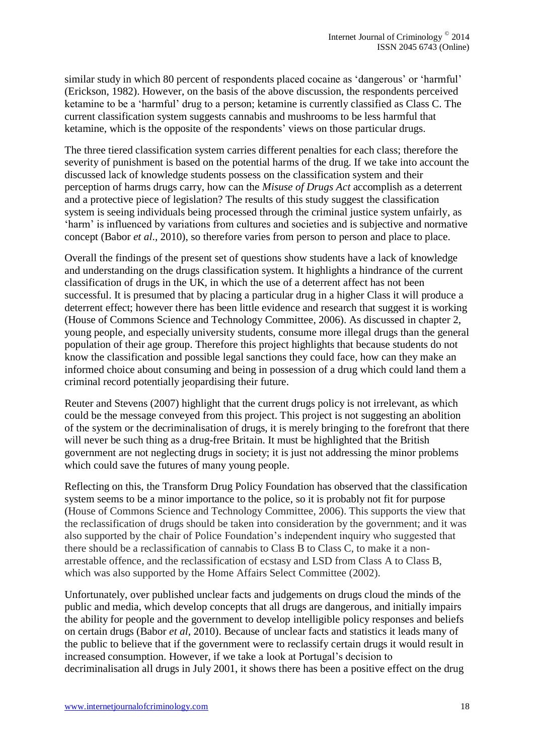similar study in which 80 percent of respondents placed cocaine as 'dangerous' or 'harmful' (Erickson, 1982). However, on the basis of the above discussion, the respondents perceived ketamine to be a 'harmful' drug to a person; ketamine is currently classified as Class C. The current classification system suggests cannabis and mushrooms to be less harmful that ketamine, which is the opposite of the respondents' views on those particular drugs.

The three tiered classification system carries different penalties for each class; therefore the severity of punishment is based on the potential harms of the drug. If we take into account the discussed lack of knowledge students possess on the classification system and their perception of harms drugs carry, how can the *Misuse of Drugs Act* accomplish as a deterrent and a protective piece of legislation? The results of this study suggest the classification system is seeing individuals being processed through the criminal justice system unfairly, as 'harm' is influenced by variations from cultures and societies and is subjective and normative concept (Babor *et al*., 2010), so therefore varies from person to person and place to place.

Overall the findings of the present set of questions show students have a lack of knowledge and understanding on the drugs classification system. It highlights a hindrance of the current classification of drugs in the UK, in which the use of a deterrent affect has not been successful. It is presumed that by placing a particular drug in a higher Class it will produce a deterrent effect; however there has been little evidence and research that suggest it is working (House of Commons Science and Technology Committee, 2006). As discussed in chapter 2, young people, and especially university students, consume more illegal drugs than the general population of their age group. Therefore this project highlights that because students do not know the classification and possible legal sanctions they could face, how can they make an informed choice about consuming and being in possession of a drug which could land them a criminal record potentially jeopardising their future.

Reuter and Stevens (2007) highlight that the current drugs policy is not irrelevant, as which could be the message conveyed from this project. This project is not suggesting an abolition of the system or the decriminalisation of drugs, it is merely bringing to the forefront that there will never be such thing as a drug-free Britain. It must be highlighted that the British government are not neglecting drugs in society; it is just not addressing the minor problems which could save the futures of many young people.

Reflecting on this, the Transform Drug Policy Foundation has observed that the classification system seems to be a minor importance to the police, so it is probably not fit for purpose (House of Commons Science and Technology Committee, 2006). This supports the view that the reclassification of drugs should be taken into consideration by the government; and it was also supported by the chair of Police Foundation's independent inquiry who suggested that there should be a reclassification of cannabis to Class B to Class C, to make it a nonarrestable offence, and the reclassification of ecstasy and LSD from Class A to Class B, which was also supported by the Home Affairs Select Committee (2002).

Unfortunately, over published unclear facts and judgements on drugs cloud the minds of the public and media, which develop concepts that all drugs are dangerous, and initially impairs the ability for people and the government to develop intelligible policy responses and beliefs on certain drugs (Babor *et al,* 2010). Because of unclear facts and statistics it leads many of the public to believe that if the government were to reclassify certain drugs it would result in increased consumption. However, if we take a look at Portugal's decision to decriminalisation all drugs in July 2001, it shows there has been a positive effect on the drug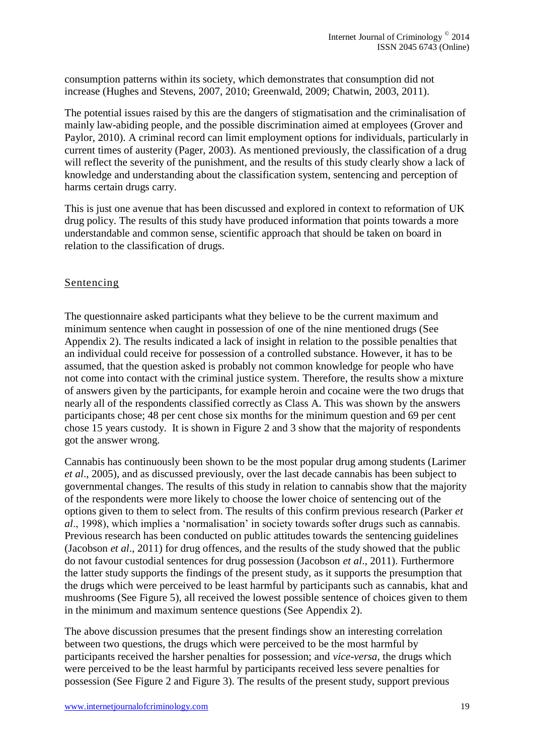consumption patterns within its society, which demonstrates that consumption did not increase (Hughes and Stevens, 2007, 2010; Greenwald, 2009; Chatwin, 2003, 2011).

The potential issues raised by this are the dangers of stigmatisation and the criminalisation of mainly law-abiding people, and the possible discrimination aimed at employees (Grover and Paylor, 2010). A criminal record can limit employment options for individuals, particularly in current times of austerity (Pager, 2003). As mentioned previously, the classification of a drug will reflect the severity of the punishment, and the results of this study clearly show a lack of knowledge and understanding about the classification system, sentencing and perception of harms certain drugs carry.

This is just one avenue that has been discussed and explored in context to reformation of UK drug policy. The results of this study have produced information that points towards a more understandable and common sense, scientific approach that should be taken on board in relation to the classification of drugs.

## Sentencing

The questionnaire asked participants what they believe to be the current maximum and minimum sentence when caught in possession of one of the nine mentioned drugs (See Appendix 2). The results indicated a lack of insight in relation to the possible penalties that an individual could receive for possession of a controlled substance. However, it has to be assumed, that the question asked is probably not common knowledge for people who have not come into contact with the criminal justice system. Therefore, the results show a mixture of answers given by the participants, for example heroin and cocaine were the two drugs that nearly all of the respondents classified correctly as Class A. This was shown by the answers participants chose; 48 per cent chose six months for the minimum question and 69 per cent chose 15 years custody. It is shown in Figure 2 and 3 show that the majority of respondents got the answer wrong.

Cannabis has continuously been shown to be the most popular drug among students (Larimer *et al*., 2005), and as discussed previously, over the last decade cannabis has been subject to governmental changes. The results of this study in relation to cannabis show that the majority of the respondents were more likely to choose the lower choice of sentencing out of the options given to them to select from. The results of this confirm previous research (Parker *et al*., 1998), which implies a 'normalisation' in society towards softer drugs such as cannabis. Previous research has been conducted on public attitudes towards the sentencing guidelines (Jacobson *et al*., 2011) for drug offences, and the results of the study showed that the public do not favour custodial sentences for drug possession (Jacobson *et al*., 2011). Furthermore the latter study supports the findings of the present study, as it supports the presumption that the drugs which were perceived to be least harmful by participants such as cannabis, khat and mushrooms (See Figure 5), all received the lowest possible sentence of choices given to them in the minimum and maximum sentence questions (See Appendix 2).

The above discussion presumes that the present findings show an interesting correlation between two questions, the drugs which were perceived to be the most harmful by participants received the harsher penalties for possession; and *vice-versa*, the drugs which were perceived to be the least harmful by participants received less severe penalties for possession (See Figure 2 and Figure 3). The results of the present study, support previous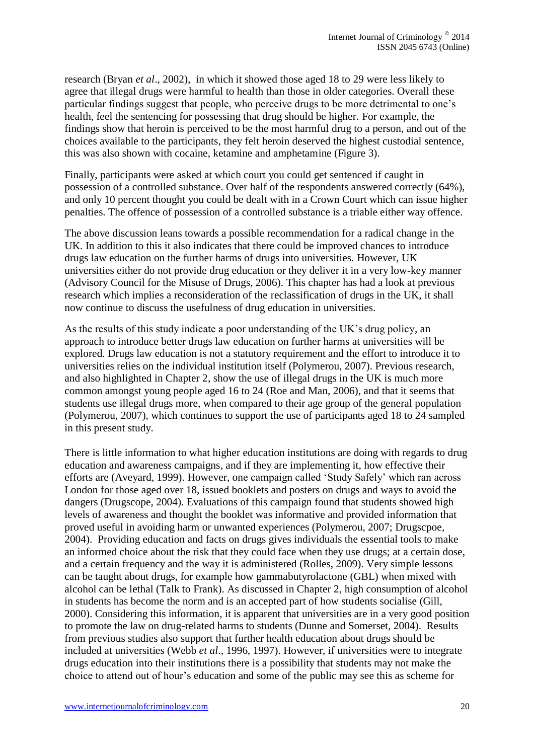research (Bryan *et al*., 2002), in which it showed those aged 18 to 29 were less likely to agree that illegal drugs were harmful to health than those in older categories. Overall these particular findings suggest that people, who perceive drugs to be more detrimental to one's health, feel the sentencing for possessing that drug should be higher. For example, the findings show that heroin is perceived to be the most harmful drug to a person, and out of the choices available to the participants, they felt heroin deserved the highest custodial sentence, this was also shown with cocaine, ketamine and amphetamine (Figure 3).

Finally, participants were asked at which court you could get sentenced if caught in possession of a controlled substance. Over half of the respondents answered correctly (64%), and only 10 percent thought you could be dealt with in a Crown Court which can issue higher penalties. The offence of possession of a controlled substance is a triable either way offence.

The above discussion leans towards a possible recommendation for a radical change in the UK. In addition to this it also indicates that there could be improved chances to introduce drugs law education on the further harms of drugs into universities. However, UK universities either do not provide drug education or they deliver it in a very low-key manner (Advisory Council for the Misuse of Drugs, 2006). This chapter has had a look at previous research which implies a reconsideration of the reclassification of drugs in the UK, it shall now continue to discuss the usefulness of drug education in universities.

As the results of this study indicate a poor understanding of the UK's drug policy, an approach to introduce better drugs law education on further harms at universities will be explored. Drugs law education is not a statutory requirement and the effort to introduce it to universities relies on the individual institution itself (Polymerou, 2007). Previous research, and also highlighted in Chapter 2, show the use of illegal drugs in the UK is much more common amongst young people aged 16 to 24 (Roe and Man, 2006), and that it seems that students use illegal drugs more, when compared to their age group of the general population (Polymerou, 2007), which continues to support the use of participants aged 18 to 24 sampled in this present study.

There is little information to what higher education institutions are doing with regards to drug education and awareness campaigns, and if they are implementing it, how effective their efforts are (Aveyard, 1999). However, one campaign called 'Study Safely' which ran across London for those aged over 18, issued booklets and posters on drugs and ways to avoid the dangers (Drugscope, 2004). Evaluations of this campaign found that students showed high levels of awareness and thought the booklet was informative and provided information that proved useful in avoiding harm or unwanted experiences (Polymerou, 2007; Drugscpoe, 2004). Providing education and facts on drugs gives individuals the essential tools to make an informed choice about the risk that they could face when they use drugs; at a certain dose, and a certain frequency and the way it is administered (Rolles, 2009). Very simple lessons can be taught about drugs, for example how gammabutyrolactone (GBL) when mixed with alcohol can be lethal (Talk to Frank). As discussed in Chapter 2, high consumption of alcohol in students has become the norm and is an accepted part of how students socialise (Gill, 2000). Considering this information, it is apparent that universities are in a very good position to promote the law on drug-related harms to students (Dunne and Somerset, 2004). Results from previous studies also support that further health education about drugs should be included at universities (Webb *et al*., 1996, 1997). However, if universities were to integrate drugs education into their institutions there is a possibility that students may not make the choice to attend out of hour's education and some of the public may see this as scheme for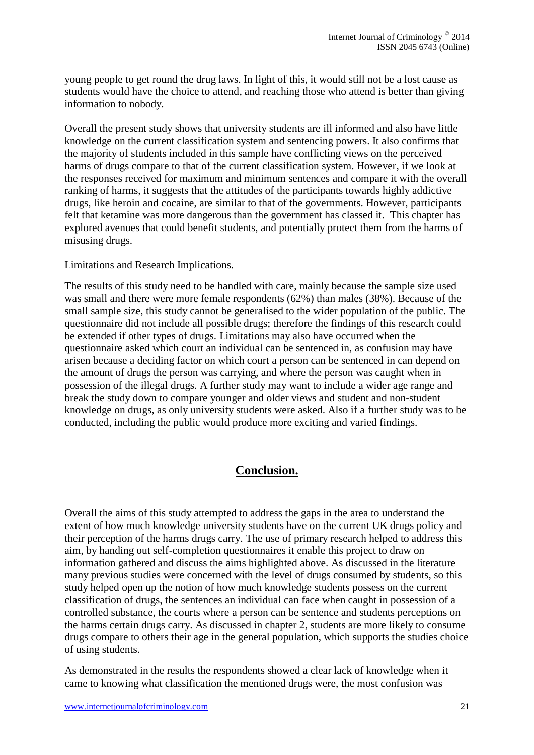young people to get round the drug laws. In light of this, it would still not be a lost cause as students would have the choice to attend, and reaching those who attend is better than giving information to nobody.

Overall the present study shows that university students are ill informed and also have little knowledge on the current classification system and sentencing powers. It also confirms that the majority of students included in this sample have conflicting views on the perceived harms of drugs compare to that of the current classification system. However, if we look at the responses received for maximum and minimum sentences and compare it with the overall ranking of harms, it suggests that the attitudes of the participants towards highly addictive drugs, like heroin and cocaine, are similar to that of the governments. However, participants felt that ketamine was more dangerous than the government has classed it. This chapter has explored avenues that could benefit students, and potentially protect them from the harms of misusing drugs.

## Limitations and Research Implications.

The results of this study need to be handled with care, mainly because the sample size used was small and there were more female respondents (62%) than males (38%). Because of the small sample size, this study cannot be generalised to the wider population of the public. The questionnaire did not include all possible drugs; therefore the findings of this research could be extended if other types of drugs. Limitations may also have occurred when the questionnaire asked which court an individual can be sentenced in, as confusion may have arisen because a deciding factor on which court a person can be sentenced in can depend on the amount of drugs the person was carrying, and where the person was caught when in possession of the illegal drugs. A further study may want to include a wider age range and break the study down to compare younger and older views and student and non-student knowledge on drugs, as only university students were asked. Also if a further study was to be conducted, including the public would produce more exciting and varied findings.

## **Conclusion.**

Overall the aims of this study attempted to address the gaps in the area to understand the extent of how much knowledge university students have on the current UK drugs policy and their perception of the harms drugs carry. The use of primary research helped to address this aim, by handing out self-completion questionnaires it enable this project to draw on information gathered and discuss the aims highlighted above. As discussed in the literature many previous studies were concerned with the level of drugs consumed by students, so this study helped open up the notion of how much knowledge students possess on the current classification of drugs, the sentences an individual can face when caught in possession of a controlled substance, the courts where a person can be sentence and students perceptions on the harms certain drugs carry. As discussed in chapter 2, students are more likely to consume drugs compare to others their age in the general population, which supports the studies choice of using students.

As demonstrated in the results the respondents showed a clear lack of knowledge when it came to knowing what classification the mentioned drugs were, the most confusion was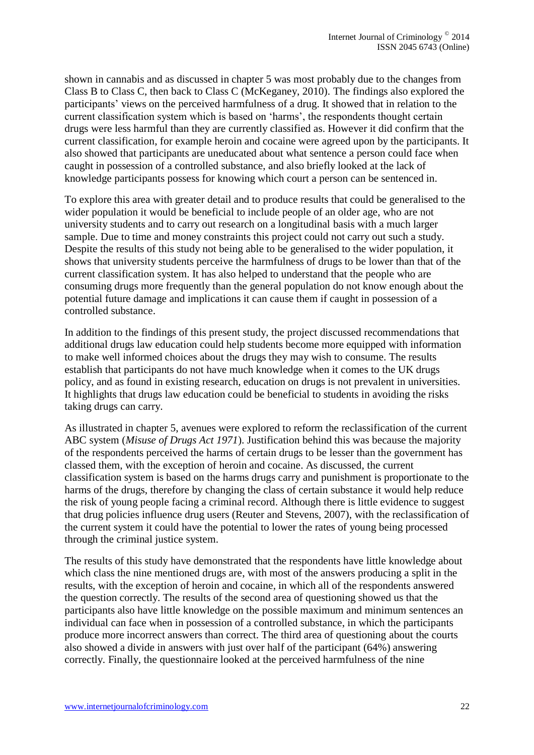shown in cannabis and as discussed in chapter 5 was most probably due to the changes from Class B to Class C, then back to Class C (McKeganey, 2010). The findings also explored the participants' views on the perceived harmfulness of a drug. It showed that in relation to the current classification system which is based on 'harms', the respondents thought certain drugs were less harmful than they are currently classified as. However it did confirm that the current classification, for example heroin and cocaine were agreed upon by the participants. It also showed that participants are uneducated about what sentence a person could face when caught in possession of a controlled substance, and also briefly looked at the lack of knowledge participants possess for knowing which court a person can be sentenced in.

To explore this area with greater detail and to produce results that could be generalised to the wider population it would be beneficial to include people of an older age, who are not university students and to carry out research on a longitudinal basis with a much larger sample. Due to time and money constraints this project could not carry out such a study. Despite the results of this study not being able to be generalised to the wider population, it shows that university students perceive the harmfulness of drugs to be lower than that of the current classification system. It has also helped to understand that the people who are consuming drugs more frequently than the general population do not know enough about the potential future damage and implications it can cause them if caught in possession of a controlled substance.

In addition to the findings of this present study, the project discussed recommendations that additional drugs law education could help students become more equipped with information to make well informed choices about the drugs they may wish to consume. The results establish that participants do not have much knowledge when it comes to the UK drugs policy, and as found in existing research, education on drugs is not prevalent in universities. It highlights that drugs law education could be beneficial to students in avoiding the risks taking drugs can carry.

As illustrated in chapter 5, avenues were explored to reform the reclassification of the current ABC system (*Misuse of Drugs Act 1971*). Justification behind this was because the majority of the respondents perceived the harms of certain drugs to be lesser than the government has classed them, with the exception of heroin and cocaine. As discussed, the current classification system is based on the harms drugs carry and punishment is proportionate to the harms of the drugs, therefore by changing the class of certain substance it would help reduce the risk of young people facing a criminal record. Although there is little evidence to suggest that drug policies influence drug users (Reuter and Stevens, 2007), with the reclassification of the current system it could have the potential to lower the rates of young being processed through the criminal justice system.

The results of this study have demonstrated that the respondents have little knowledge about which class the nine mentioned drugs are, with most of the answers producing a split in the results, with the exception of heroin and cocaine, in which all of the respondents answered the question correctly. The results of the second area of questioning showed us that the participants also have little knowledge on the possible maximum and minimum sentences an individual can face when in possession of a controlled substance, in which the participants produce more incorrect answers than correct. The third area of questioning about the courts also showed a divide in answers with just over half of the participant (64%) answering correctly. Finally, the questionnaire looked at the perceived harmfulness of the nine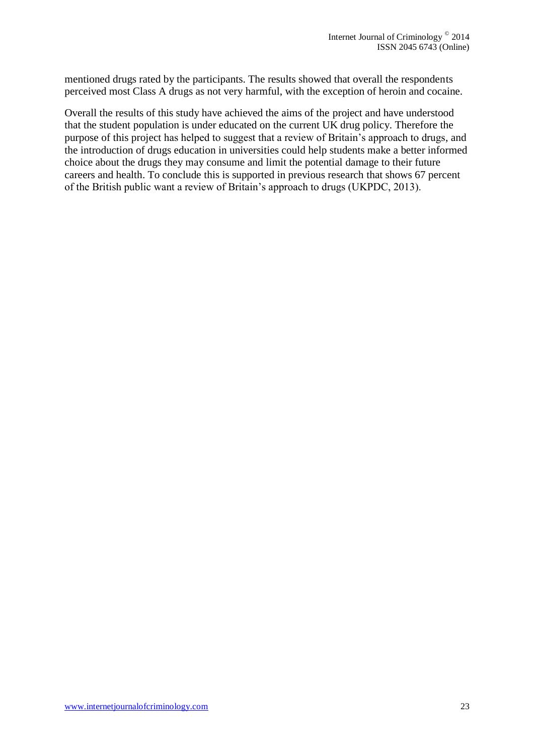mentioned drugs rated by the participants. The results showed that overall the respondents perceived most Class A drugs as not very harmful, with the exception of heroin and cocaine.

Overall the results of this study have achieved the aims of the project and have understood that the student population is under educated on the current UK drug policy. Therefore the purpose of this project has helped to suggest that a review of Britain's approach to drugs, and the introduction of drugs education in universities could help students make a better informed choice about the drugs they may consume and limit the potential damage to their future careers and health. To conclude this is supported in previous research that shows 67 percent of the British public want a review of Britain's approach to drugs (UKPDC, 2013).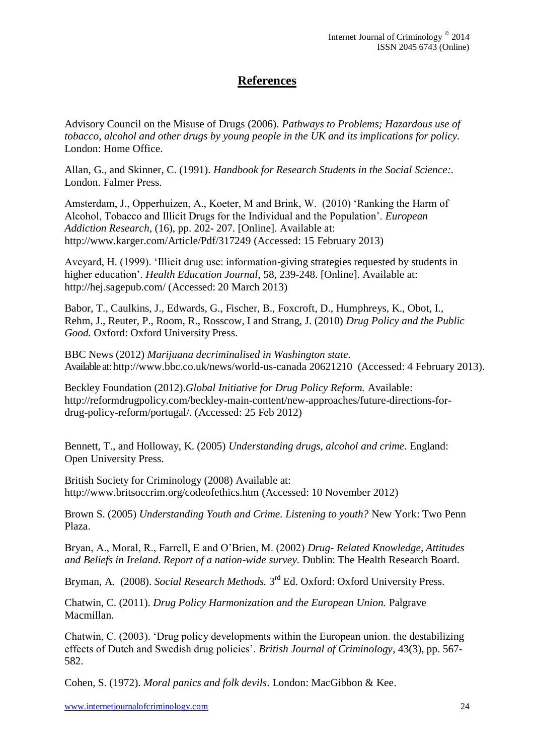## **References**

Advisory Council on the Misuse of Drugs (2006). *Pathways to Problems; Hazardous use of tobacco, alcohol and other drugs by young people in the UK and its implications for policy.*  London: Home Office.

Allan, G., and Skinner, C. (1991). *Handbook for Research Students in the Social Science:.* London. Falmer Press.

Amsterdam, J., Opperhuizen, A., Koeter, M and Brink, W. (2010) 'Ranking the Harm of Alcohol, Tobacco and Illicit Drugs for the Individual and the Population'. *European Addiction Research*, (16), pp. 202- 207. [Online]. Available at: <http://www.karger.com/Article/Pdf/317249> (Accessed: 15 February 2013)

Aveyard, H. (1999). 'Illicit drug use: information-giving strategies requested by students in higher education'. *Health Education Journal*, 58, 239-248. [Online]. Available at: [http://hej.sagepub.com/](http://hej.sagepub.com/content/58/3/239.short) (Accessed: 20 March 2013)

Babor, T., Caulkins, J., Edwards, G., Fischer, B., Foxcroft, D., Humphreys, K., Obot, I., Rehm, J., Reuter, P., Room, R., Rosscow, I and Strang, J. (2010) *Drug Policy and the Public Good.* Oxford: Oxford University Press.

BBC News (2012) *Marijuana decriminalised in Washington state.* Available at[: http://www.bbc.co.uk/news/world-us-canada 20621210](http://www.bbc.co.uk/news/world-us-canada%2020621210) (Accessed: 4 February 2013).

Beckley Foundation (2012).*Global Initiative for Drug Policy Reform.* Available: http://reformdrugpolicy.com/beckley-main-content/new-approaches/future-directions-fordrug-policy-reform/portugal/. (Accessed: 25 Feb 2012)

Bennett, T., and Holloway, K. (2005) *Understanding drugs, alcohol and crime.* England: Open University Press.

British Society for Criminology (2008) Available at: <http://www.britsoccrim.org/codeofethics.htm> (Accessed: 10 November 2012)

Brown S. (2005) *Understanding Youth and Crime. Listening to youth?* New York: Two Penn Plaza.

Bryan, A., Moral, R., Farrell, E and O'Brien, M. (2002) *Drug- Related Knowledge, Attitudes and Beliefs in Ireland. Report of a nation-wide survey.* Dublin: The Health Research Board.

Bryman, A. (2008). *Social Research Methods*. 3<sup>rd</sup> Ed. Oxford: Oxford University Press.

Chatwin, C. (2011). *Drug Policy Harmonization and the European Union.* Palgrave Macmillan.

Chatwin, C. (2003). 'Drug policy developments within the European union. the destabilizing effects of Dutch and Swedish drug policies'. *British Journal of Criminology*, 43(3), pp. 567- 582.

Cohen, S. (1972). *Moral panics and folk devils*. London: MacGibbon & Kee.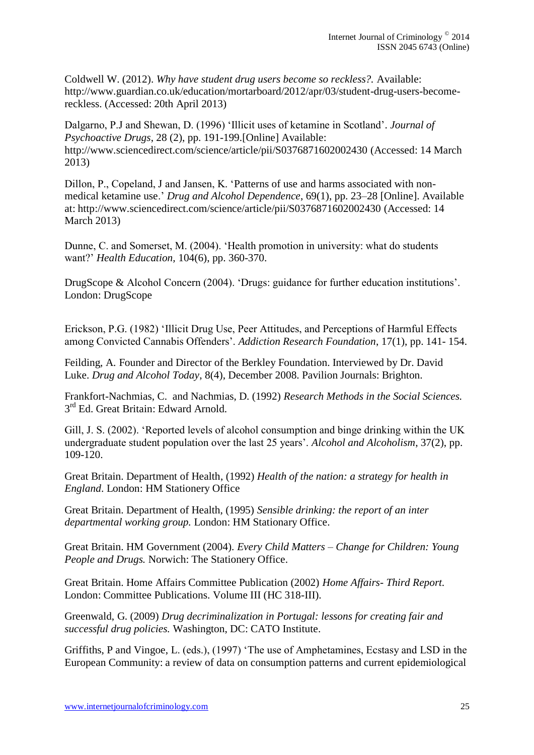Coldwell W. (2012). *Why have student drug users become so reckless?.* Available: http://www.guardian.co.uk/education/mortarboard/2012/apr/03/student-drug-users-becomereckless. (Accessed: 20th April 2013)

Dalgarno, P.J and Shewan, D. (1996) 'Illicit uses of ketamine in Scotland'*. Journal of Psychoactive Drugs*, 28 (2), pp. 191-199.[Online] Available: <http://www.sciencedirect.com/science/article/pii/S0376871602002430> (Accessed: 14 March 2013)

Dillon, P., Copeland, J and Jansen, K. 'Patterns of use and harms associated with nonmedical ketamine use.' *Drug and Alcohol Dependence*, 69(1), pp. 23–28 [Online]. Available at: <http://www.sciencedirect.com/science/article/pii/S0376871602002430> (Accessed: 14 March 2013)

Dunne, C. and Somerset, M. (2004). 'Health promotion in university: what do students want?' *Health Education,* 104(6), pp. 360-370.

DrugScope & Alcohol Concern (2004). 'Drugs: guidance for further education institutions'. London: DrugScope

Erickson, P.G. (1982) 'Illicit Drug Use, Peer Attitudes, and Perceptions of Harmful Effects among Convicted Cannabis Offenders'. *Addiction Research Foundation*, 17(1), pp. 141- 154.

Feilding, A. Founder and Director of the Berkley Foundation. Interviewed by Dr. David Luke. *Drug and Alcohol Today*, 8(4), December 2008. Pavilion Journals: Brighton.

Frankfort-Nachmias, C. and Nachmias, D. (1992) *Research Methods in the Social Sciences.*  3<sup>rd</sup> Ed. Great Britain: Edward Arnold.

Gill, J. S. (2002). 'Reported levels of alcohol consumption and binge drinking within the UK undergraduate student population over the last 25 years'. *Alcohol and Alcoholism*, 37(2), pp. 109-120.

Great Britain. Department of Health, (1992) *Health of the nation: a strategy for health in England*. London: HM Stationery Office

Great Britain. Department of Health, (1995) *Sensible drinking: the report of an inter departmental working group.* London: HM Stationary Office.

Great Britain. HM Government (2004). *Every Child Matters – Change for Children: Young People and Drugs.* Norwich: The Stationery Office.

Great Britain. Home Affairs Committee Publication (2002) *Home Affairs- Third Report.*  London: Committee Publications. Volume III (HC 318-III).

Greenwald, G. (2009) *Drug decriminalization in Portugal: lessons for creating fair and successful drug policies.* Washington, DC: CATO Institute.

Griffiths, P and Vingoe, L. (eds.), (1997) 'The use of Amphetamines, Ecstasy and LSD in the European Community: a review of data on consumption patterns and current epidemiological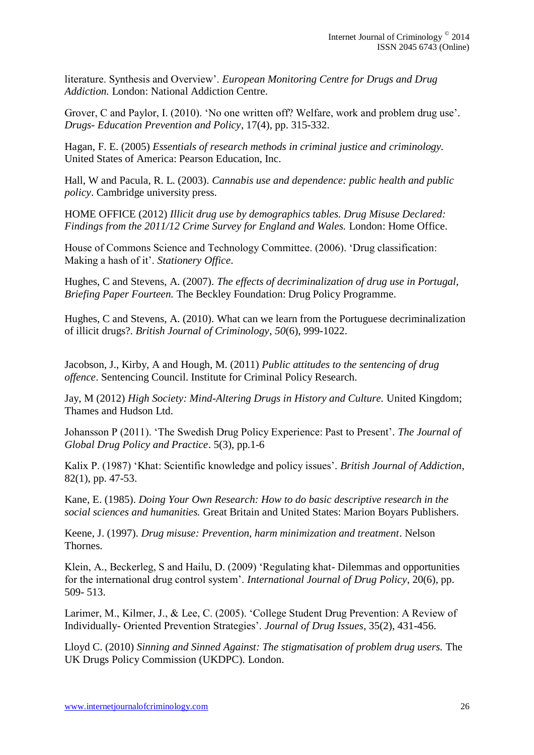literature. Synthesis and Overview'. *European Monitoring Centre for Drugs and Drug Addiction.* London: National Addiction Centre.

Grover, C and Paylor, I. (2010). 'No one written off? Welfare, work and problem drug use'*. Drugs- Education Prevention and Policy*, 17(4), pp. 315-332.

Hagan, F. E. (2005) *Essentials of research methods in criminal justice and criminology.*  United States of America: Pearson Education, Inc.

Hall, W and Pacula, R. L. (2003). *Cannabis use and dependence: public health and public policy*. Cambridge university press.

HOME OFFICE (2012) *Illicit drug use by demographics tables. Drug Misuse Declared: Findings from the 2011/12 Crime Survey for England and Wales.* London: Home Office.

House of Commons Science and Technology Committee. (2006). 'Drug classification: Making a hash of it'. *Stationery Office*.

Hughes, C and Stevens, A. (2007). *The effects of decriminalization of drug use in Portugal, Briefing Paper Fourteen.* The Beckley Foundation: Drug Policy Programme.

Hughes, C and Stevens, A. (2010). What can we learn from the Portuguese decriminalization of illicit drugs?. *British Journal of Criminology*, *50*(6), 999-1022.

Jacobson, J., Kirby, A and Hough, M. (2011) *Public attitudes to the sentencing of drug offence*. Sentencing Council. Institute for Criminal Policy Research.

Jay, M (2012) *High Society: Mind-Altering Drugs in History and Culture.* United Kingdom; Thames and Hudson Ltd.

Johansson P (2011). 'The Swedish Drug Policy Experience: Past to Present'*. The Journal of Global Drug Policy and Practice*. 5(3), pp.1-6

Kalix P. (1987) 'Khat: Scientific knowledge and policy issues'*. British Journal of Addiction*, 82(1), pp. 47-53.

Kane, E. (1985). *Doing Your Own Research: How to do basic descriptive research in the social sciences and humanities.* Great Britain and United States: Marion Boyars Publishers.

Keene, J. (1997). *Drug misuse: Prevention, harm minimization and treatment*. Nelson Thornes.

Klein, A., Beckerleg, S and Hailu, D. (2009) 'Regulating khat- Dilemmas and opportunities for the international drug control system'. *International Journal of Drug Policy*, 20(6), pp. 509- 513.

Larimer, M., Kilmer, J., & Lee, C. (2005). 'College Student Drug Prevention: A Review of Individually- Oriented Prevention Strategies'. *Journal of Drug Issues*, 35(2), 431-456.

Lloyd C. (2010) *Sinning and Sinned Against: The stigmatisation of problem drug users.* The UK Drugs Policy Commission (UKDPC). London.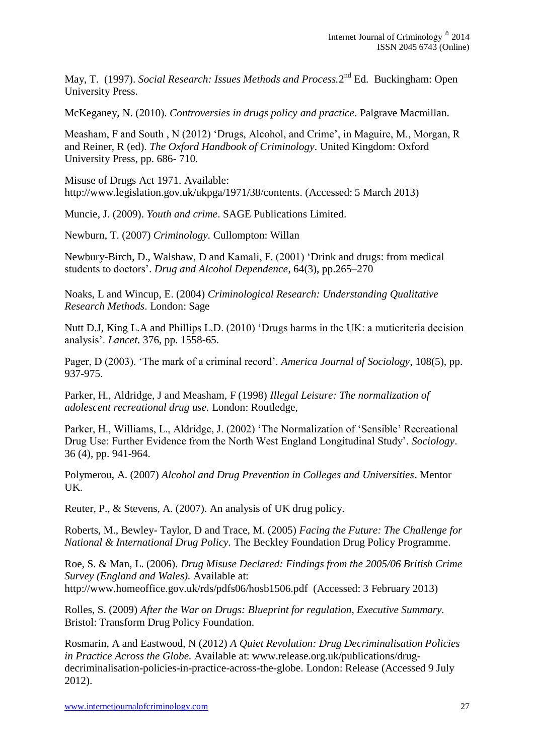May, T. (1997). *Social Research: Issues Methods and Process*.2<sup>nd</sup> Ed. Buckingham: Open University Press.

McKeganey, N. (2010). *Controversies in drugs policy and practice*. Palgrave Macmillan.

Measham, F and South , N (2012) 'Drugs, Alcohol, and Crime', in Maguire, M., Morgan, R and Reiner, R (ed). *The Oxford Handbook of Criminology.* United Kingdom: Oxford University Press, pp. 686- 710.

Misuse of Drugs Act 1971. Available: [http://www.legislation.gov.uk/ukpga/1971/38/contents.](http://www.legislation.gov.uk/ukpga/1971/38/contents) (Accessed: 5 March 2013)

Muncie, J. (2009). *Youth and crime*. SAGE Publications Limited.

Newburn, T. (2007) *Criminology.* Cullompton: Willan

Newbury-Birch, D., Walshaw, D and Kamali, F. (2001) 'Drink and drugs: from medical students to doctors'. *Drug and Alcohol Dependence*, 64(3), pp.265–270

Noaks, L and Wincup, E. (2004) *Criminological Research: Understanding Qualitative Research Methods*. London: Sage

Nutt D.J, King L.A and Phillips L.D. (2010) 'Drugs harms in the UK: a muticriteria decision analysis'. *Lancet.* 376, pp. 1558-65.

Pager, D (2003). 'The mark of a criminal record'*. America Journal of Sociology*, 108(5), pp. 937-975.

Parker, H., Aldridge, J and Measham, F (1998) *Illegal Leisure: The normalization of adolescent recreational drug use.* London: Routledge,

Parker, H., Williams, L., Aldridge, J. (2002) 'The Normalization of 'Sensible' Recreational Drug Use: Further Evidence from the North West England Longitudinal Study'*. Sociology*. 36 (4), pp. 941-964.

Polymerou, A. (2007) *Alcohol and Drug Prevention in Colleges and Universities*. Mentor UK.

Reuter, P., & Stevens, A. (2007). An analysis of UK drug policy.

Roberts, M., Bewley- Taylor, D and Trace, M. (2005) *Facing the Future: The Challenge for National & International Drug Policy.* The Beckley Foundation Drug Policy Programme.

Roe, S. & Man, L. (2006). *Drug Misuse Declared: Findings from the 2005/06 British Crime Survey (England and Wales).* Available at: http://www.homeoffice.gov.uk/rds/pdfs06/hosb1506.pdf (Accessed: 3 February 2013)

Rolles, S. (2009) *After the War on Drugs: Blueprint for regulation, Executive Summary.*  Bristol: Transform Drug Policy Foundation.

Rosmarin, A and Eastwood, N (2012) *A Quiet Revolution: Drug Decriminalisation Policies in Practice Across the Globe.* Available at: [www.release.org.uk/publications/drug](http://www.release.org.uk/publications/drug-decriminalisation-policies-in-practice-across-the-globe)[decriminalisation-policies-in-practice-across-the-globe.](http://www.release.org.uk/publications/drug-decriminalisation-policies-in-practice-across-the-globe) London: Release (Accessed 9 July 2012).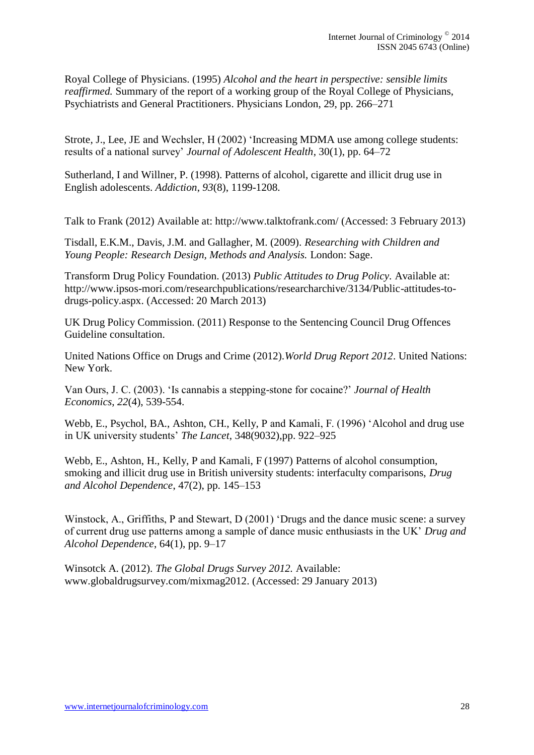Royal College of Physicians. (1995) *Alcohol and the heart in perspective: sensible limits reaffirmed.* Summary of the report of a working group of the Royal College of Physicians, Psychiatrists and General Practitioners. Physicians London, 29, pp. 266–271

Strote, J., Lee, JE and Wechsler, H (2002) 'Increasing MDMA use among college students: results of a national survey' *Journal of Adolescent Health*, 30(1), pp. 64–72

Sutherland, I and Willner, P. (1998). Patterns of alcohol, cigarette and illicit drug use in English adolescents. *Addiction*, *93*(8), 1199-1208.

Talk to Frank (2012) Available at:<http://www.talktofrank.com/> (Accessed: 3 February 2013)

Tisdall, E.K.M., Davis, J.M. and Gallagher, M. (2009). *Researching with Children and Young People: Research Design, Methods and Analysis.* London: Sage.

Transform Drug Policy Foundation. (2013) *Public Attitudes to Drug Policy.* Available at: [http://www.ipsos-mori.com/researchpublications/researcharchive/3134/Public-attitudes-to](http://www.ipsos-mori.com/researchpublications/researcharchive/3134/Public-attitudes-to-drugs-policy.aspx)[drugs-policy.aspx.](http://www.ipsos-mori.com/researchpublications/researcharchive/3134/Public-attitudes-to-drugs-policy.aspx) (Accessed: 20 March 2013)

UK Drug Policy Commission. (2011) Response to the Sentencing Council Drug Offences Guideline consultation.

United Nations Office on Drugs and Crime (2012).*World Drug Report 2012*. United Nations: New York.

Van Ours, J. C. (2003). 'Is cannabis a stepping-stone for cocaine?' *Journal of Health Economics*, *22*(4), 539-554.

Webb, E., Psychol, BA., Ashton, CH., Kelly, P and Kamali, F. (1996) 'Alcohol and drug use in UK university students' *The Lancet*, 348(9032),pp. 922–925

Webb, E., Ashton, H., Kelly, P and Kamali, F (1997) Patterns of alcohol consumption, smoking and illicit drug use in British university students: interfaculty comparisons, *Drug and Alcohol Dependence*, 47(2), pp. 145–153

Winstock, A., Griffiths, P and Stewart, D (2001) 'Drugs and the dance music scene: a survey of current drug use patterns among a sample of dance music enthusiasts in the UK' *Drug and Alcohol Dependence*, 64(1), pp. 9–17

Winsotck A. (2012). *The Global Drugs Survey 2012.* Available: www.globaldrugsurvey.com/mixmag2012. (Accessed: 29 January 2013)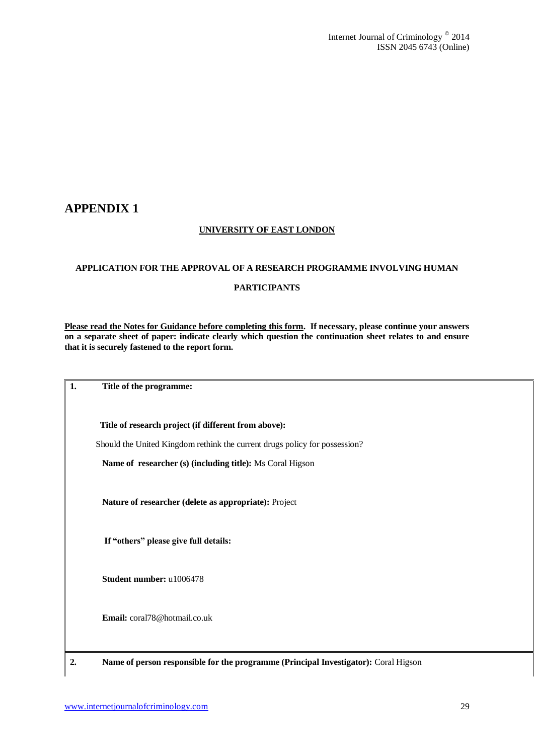## **APPENDIX 1**

### **UNIVERSITY OF EAST LONDON**

#### **APPLICATION FOR THE APPROVAL OF A RESEARCH PROGRAMME INVOLVING HUMAN**

#### **PARTICIPANTS**

**Please read the Notes for Guidance before completing this form. If necessary, please continue your answers on a separate sheet of paper: indicate clearly which question the continuation sheet relates to and ensure that it is securely fastened to the report form.**

**1. Title of the programme:**

 **Title of research project (if different from above):**

Should the United Kingdom rethink the current drugs policy for possession?

 **Name of researcher (s) (including title):** Ms Coral Higson

 **Nature of researcher (delete as appropriate):** Project

**If "others" please give full details:** 

 **Student number:** u1006478

 **Email:** coral78@hotmail.co.uk

**2. Name of person responsible for the programme (Principal Investigator):** Coral Higson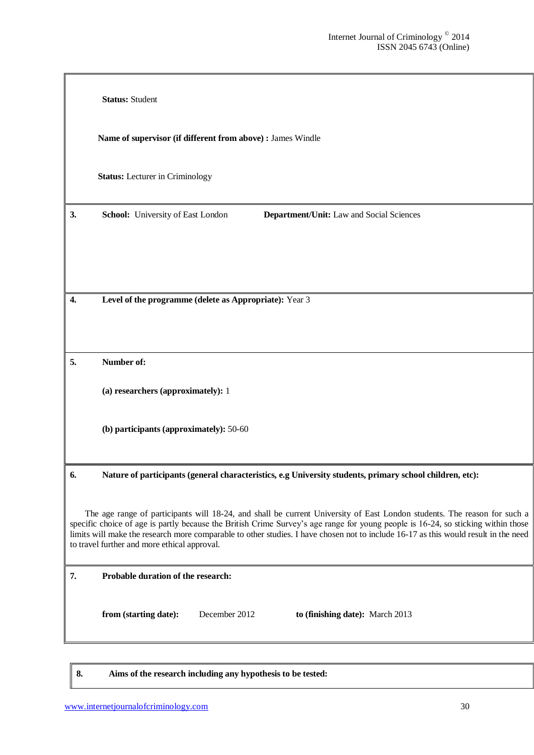|    | <b>Status: Student</b>                                                                                                                                                                                                                                                                                                                                                                                                                               |
|----|------------------------------------------------------------------------------------------------------------------------------------------------------------------------------------------------------------------------------------------------------------------------------------------------------------------------------------------------------------------------------------------------------------------------------------------------------|
|    | Name of supervisor (if different from above) : James Windle                                                                                                                                                                                                                                                                                                                                                                                          |
|    | <b>Status:</b> Lecturer in Criminology                                                                                                                                                                                                                                                                                                                                                                                                               |
| 3. | Department/Unit: Law and Social Sciences<br>School: University of East London                                                                                                                                                                                                                                                                                                                                                                        |
|    |                                                                                                                                                                                                                                                                                                                                                                                                                                                      |
| 4. | Level of the programme (delete as Appropriate): Year 3                                                                                                                                                                                                                                                                                                                                                                                               |
|    |                                                                                                                                                                                                                                                                                                                                                                                                                                                      |
| 5. | Number of:                                                                                                                                                                                                                                                                                                                                                                                                                                           |
|    | (a) researchers (approximately): 1                                                                                                                                                                                                                                                                                                                                                                                                                   |
|    | (b) participants (approximately): 50-60                                                                                                                                                                                                                                                                                                                                                                                                              |
| 6. | Nature of participants (general characteristics, e.g University students, primary school children, etc):                                                                                                                                                                                                                                                                                                                                             |
|    | The age range of participants will 18-24, and shall be current University of East London students. The reason for such a<br>specific choice of age is partly because the British Crime Survey's age range for young people is 16-24, so sticking within those<br>limits will make the research more comparable to other studies. I have chosen not to include 16-17 as this would result in the need<br>to travel further and more ethical approval. |
| 7. | Probable duration of the research:                                                                                                                                                                                                                                                                                                                                                                                                                   |
|    | December 2012<br>from (starting date):<br>to (finishing date): March 2013                                                                                                                                                                                                                                                                                                                                                                            |
|    |                                                                                                                                                                                                                                                                                                                                                                                                                                                      |

**8. Aims of the research including any hypothesis to be tested:**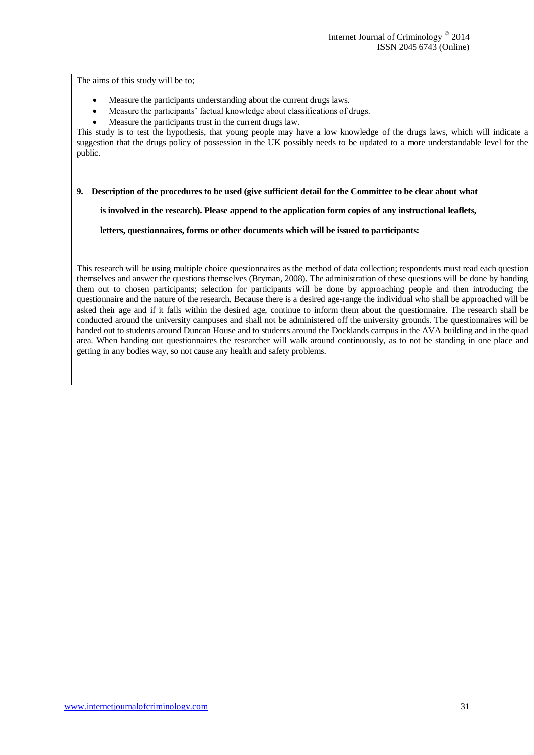The aims of this study will be to;

- Measure the participants understanding about the current drugs laws.
- Measure the participants' factual knowledge about classifications of drugs.
- Measure the participants trust in the current drugs law.

This study is to test the hypothesis, that young people may have a low knowledge of the drugs laws, which will indicate a suggestion that the drugs policy of possession in the UK possibly needs to be updated to a more understandable level for the public.

#### **9. Description of the procedures to be used (give sufficient detail for the Committee to be clear about what**

 **is involved in the research). Please append to the application form copies of any instructional leaflets,**

 **letters, questionnaires, forms or other documents which will be issued to participants:**

This research will be using multiple choice questionnaires as the method of data collection; respondents must read each question themselves and answer the questions themselves (Bryman, 2008). The administration of these questions will be done by handing them out to chosen participants; selection for participants will be done by approaching people and then introducing the questionnaire and the nature of the research. Because there is a desired age-range the individual who shall be approached will be asked their age and if it falls within the desired age, continue to inform them about the questionnaire. The research shall be conducted around the university campuses and shall not be administered off the university grounds. The questionnaires will be handed out to students around Duncan House and to students around the Docklands campus in the AVA building and in the quad area. When handing out questionnaires the researcher will walk around continuously, as to not be standing in one place and getting in any bodies way, so not cause any health and safety problems.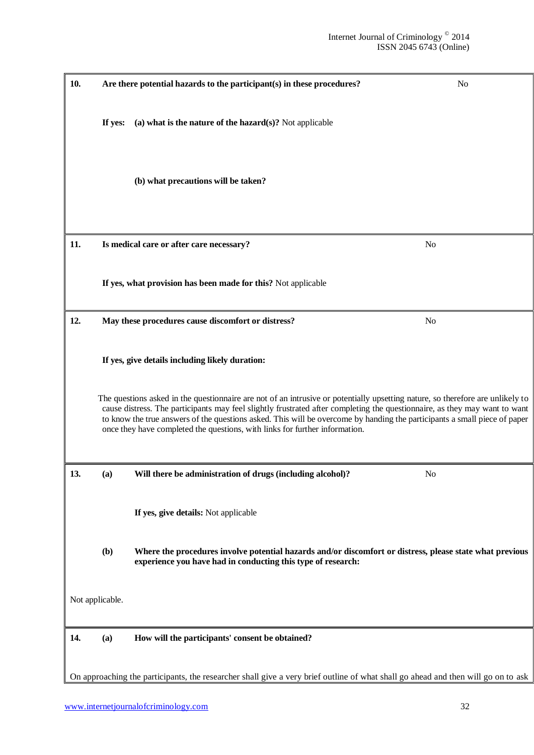| 10. |                 | Are there potential hazards to the participant(s) in these procedures?                                                                                                                                                                                                                                                                                                                                                                                                   | N <sub>o</sub> |
|-----|-----------------|--------------------------------------------------------------------------------------------------------------------------------------------------------------------------------------------------------------------------------------------------------------------------------------------------------------------------------------------------------------------------------------------------------------------------------------------------------------------------|----------------|
|     |                 |                                                                                                                                                                                                                                                                                                                                                                                                                                                                          |                |
|     | If yes:         | (a) what is the nature of the hazard $(s)$ ? Not applicable                                                                                                                                                                                                                                                                                                                                                                                                              |                |
|     |                 | (b) what precautions will be taken?                                                                                                                                                                                                                                                                                                                                                                                                                                      |                |
| 11. |                 | Is medical care or after care necessary?                                                                                                                                                                                                                                                                                                                                                                                                                                 | N <sub>o</sub> |
|     |                 | If yes, what provision has been made for this? Not applicable                                                                                                                                                                                                                                                                                                                                                                                                            |                |
| 12. |                 | May these procedures cause discomfort or distress?                                                                                                                                                                                                                                                                                                                                                                                                                       | N <sub>0</sub> |
|     |                 | If yes, give details including likely duration:                                                                                                                                                                                                                                                                                                                                                                                                                          |                |
|     |                 | The questions asked in the questionnaire are not of an intrusive or potentially upsetting nature, so therefore are unlikely to<br>cause distress. The participants may feel slightly frustrated after completing the questionnaire, as they may want to want<br>to know the true answers of the questions asked. This will be overcome by handing the participants a small piece of paper<br>once they have completed the questions, with links for further information. |                |
| 13. | (a)             | Will there be administration of drugs (including alcohol)?                                                                                                                                                                                                                                                                                                                                                                                                               | N <sub>0</sub> |
|     |                 | If yes, give details: Not applicable                                                                                                                                                                                                                                                                                                                                                                                                                                     |                |
|     | (b)             | Where the procedures involve potential hazards and/or discomfort or distress, please state what previous<br>experience you have had in conducting this type of research:                                                                                                                                                                                                                                                                                                 |                |
|     | Not applicable. |                                                                                                                                                                                                                                                                                                                                                                                                                                                                          |                |
| 14. | (a)             | How will the participants' consent be obtained?                                                                                                                                                                                                                                                                                                                                                                                                                          |                |
|     |                 |                                                                                                                                                                                                                                                                                                                                                                                                                                                                          |                |
|     |                 | On approaching the participants, the researcher shall give a very brief outline of what shall go ahead and then will go on to ask                                                                                                                                                                                                                                                                                                                                        |                |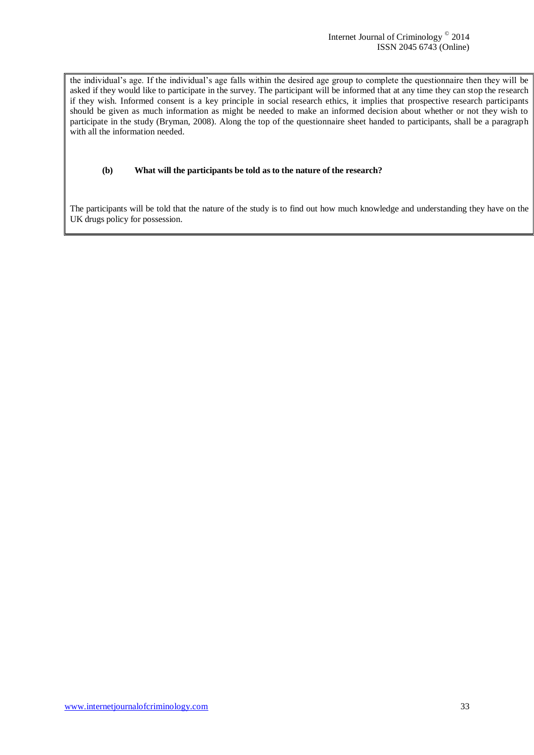the individual's age. If the individual's age falls within the desired age group to complete the questionnaire then they will be asked if they would like to participate in the survey. The participant will be informed that at any time they can stop the research if they wish. Informed consent is a key principle in social research ethics, it implies that prospective research participants should be given as much information as might be needed to make an informed decision about whether or not they wish to participate in the study (Bryman, 2008). Along the top of the questionnaire sheet handed to participants, shall be a paragraph with all the information needed.

#### **(b) What will the participants be told as to the nature of the research?**

The participants will be told that the nature of the study is to find out how much knowledge and understanding they have on the UK drugs policy for possession.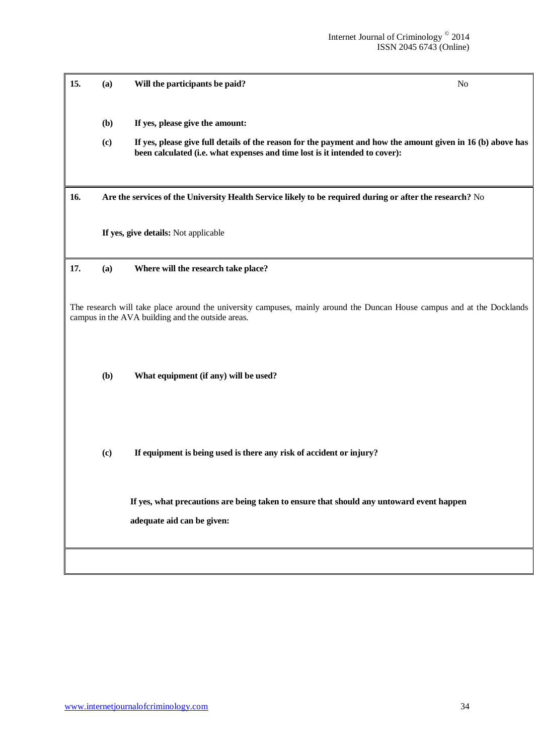| 15. | (a)                                | Will the participants be paid?                                                                                                                                                                                                | N <sub>o</sub> |
|-----|------------------------------------|-------------------------------------------------------------------------------------------------------------------------------------------------------------------------------------------------------------------------------|----------------|
|     | (b)<br>$\left( \mathbf{c} \right)$ | If yes, please give the amount:<br>If yes, please give full details of the reason for the payment and how the amount given in 16 (b) above has<br>been calculated (i.e. what expenses and time lost is it intended to cover): |                |
| 16. |                                    | Are the services of the University Health Service likely to be required during or after the research? No                                                                                                                      |                |
|     |                                    | If yes, give details: Not applicable                                                                                                                                                                                          |                |
| 17. | (a)                                | Where will the research take place?                                                                                                                                                                                           |                |
|     |                                    | The research will take place around the university campuses, mainly around the Duncan House campus and at the Docklands<br>campus in the AVA building and the outside areas.                                                  |                |
|     | (b)                                | What equipment (if any) will be used?                                                                                                                                                                                         |                |
|     | (c)                                | If equipment is being used is there any risk of accident or injury?                                                                                                                                                           |                |
|     |                                    | If yes, what precautions are being taken to ensure that should any untoward event happen<br>adequate aid can be given:                                                                                                        |                |
|     |                                    |                                                                                                                                                                                                                               |                |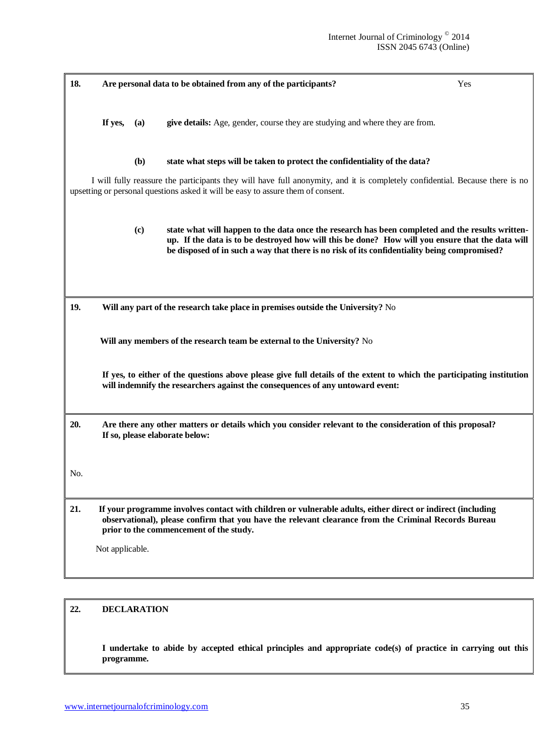| 18. |                                                                                                                                                                                                          |     | Are personal data to be obtained from any of the participants?                                                                                                                                                                                                                                       | Yes |  |  |
|-----|----------------------------------------------------------------------------------------------------------------------------------------------------------------------------------------------------------|-----|------------------------------------------------------------------------------------------------------------------------------------------------------------------------------------------------------------------------------------------------------------------------------------------------------|-----|--|--|
|     | If yes,                                                                                                                                                                                                  | (a) | give details: Age, gender, course they are studying and where they are from.                                                                                                                                                                                                                         |     |  |  |
|     |                                                                                                                                                                                                          | (b) | state what steps will be taken to protect the confidentiality of the data?                                                                                                                                                                                                                           |     |  |  |
|     |                                                                                                                                                                                                          |     | I will fully reassure the participants they will have full anonymity, and it is completely confidential. Because there is no<br>upsetting or personal questions asked it will be easy to assure them of consent.                                                                                     |     |  |  |
|     |                                                                                                                                                                                                          | (c) | state what will happen to the data once the research has been completed and the results written-<br>up. If the data is to be destroyed how will this be done? How will you ensure that the data will<br>be disposed of in such a way that there is no risk of its confidentiality being compromised? |     |  |  |
| 19. |                                                                                                                                                                                                          |     | Will any part of the research take place in premises outside the University? No                                                                                                                                                                                                                      |     |  |  |
|     |                                                                                                                                                                                                          |     | Will any members of the research team be external to the University? No                                                                                                                                                                                                                              |     |  |  |
|     | If yes, to either of the questions above please give full details of the extent to which the participating institution<br>will indemnify the researchers against the consequences of any untoward event: |     |                                                                                                                                                                                                                                                                                                      |     |  |  |
| 20. |                                                                                                                                                                                                          |     | Are there any other matters or details which you consider relevant to the consideration of this proposal?<br>If so, please elaborate below:                                                                                                                                                          |     |  |  |
| No. |                                                                                                                                                                                                          |     |                                                                                                                                                                                                                                                                                                      |     |  |  |
| 21. |                                                                                                                                                                                                          |     | If your programme involves contact with children or vulnerable adults, either direct or indirect (including<br>observational), please confirm that you have the relevant clearance from the Criminal Records Bureau<br>prior to the commencement of the study.                                       |     |  |  |
|     | Not applicable.                                                                                                                                                                                          |     |                                                                                                                                                                                                                                                                                                      |     |  |  |
|     |                                                                                                                                                                                                          |     |                                                                                                                                                                                                                                                                                                      |     |  |  |

## **22. DECLARATION**

**I undertake to abide by accepted ethical principles and appropriate code(s) of practice in carrying out this programme.**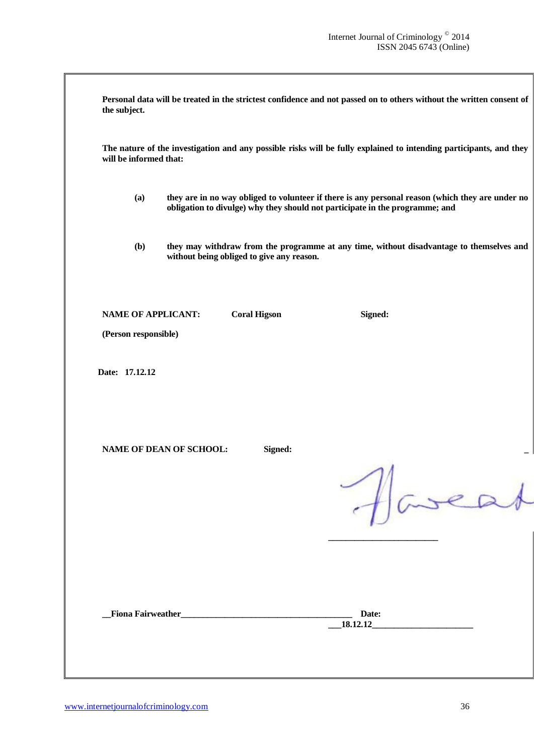| the subject.                                      |                                           | Personal data will be treated in the strictest confidence and not passed on to others without the written consent of                                                             |
|---------------------------------------------------|-------------------------------------------|----------------------------------------------------------------------------------------------------------------------------------------------------------------------------------|
| will be informed that:                            |                                           | The nature of the investigation and any possible risks will be fully explained to intending participants, and they                                                               |
| (a)                                               |                                           | they are in no way obliged to volunteer if there is any personal reason (which they are under no<br>obligation to divulge) why they should not participate in the programme; and |
| (b)                                               | without being obliged to give any reason. | they may withdraw from the programme at any time, without disadvantage to themselves and                                                                                         |
| <b>NAME OF APPLICANT:</b><br>(Person responsible) | <b>Coral Higson</b>                       | Signed:                                                                                                                                                                          |
| Date: 17.12.12                                    |                                           |                                                                                                                                                                                  |
| NAME OF DEAN OF SCHOOL:                           | Signed:                                   |                                                                                                                                                                                  |
|                                                   |                                           | Havea                                                                                                                                                                            |
|                                                   |                                           |                                                                                                                                                                                  |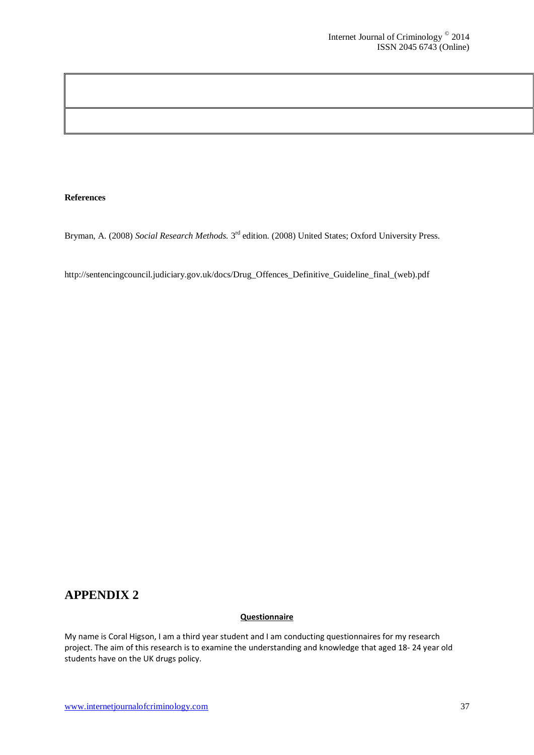#### **References**

Bryman, A. (2008) Social Research Methods. 3<sup>rd</sup> edition. (2008) United States; Oxford University Press.

http://sentencingcouncil.judiciary.gov.uk/docs/Drug\_Offences\_Definitive\_Guideline\_final\_(web).pdf

## **APPENDIX 2**

#### **Questionnaire**

My name is Coral Higson, I am a third year student and I am conducting questionnaires for my research project. The aim of this research is to examine the understanding and knowledge that aged 18- 24 year old students have on the UK drugs policy.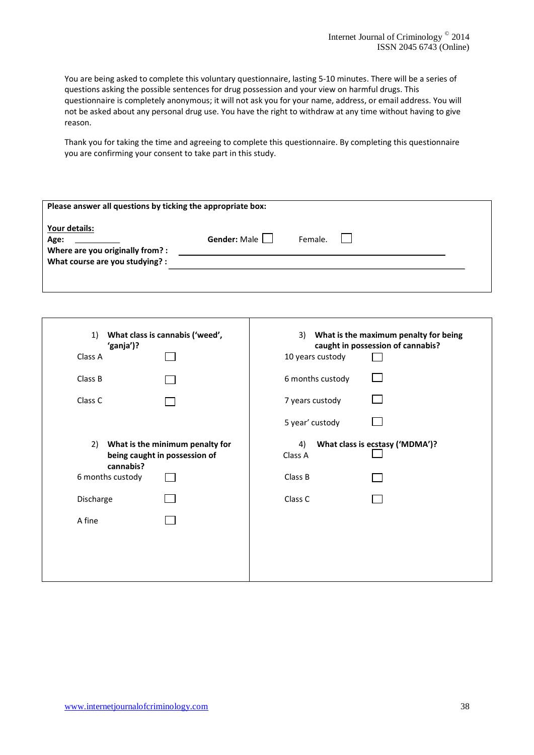You are being asked to complete this voluntary questionnaire, lasting 5-10 minutes. There will be a series of questions asking the possible sentences for drug possession and your view on harmful drugs. This questionnaire is completely anonymous; it will not ask you for your name, address, or email address. You will not be asked about any personal drug use. You have the right to withdraw at any time without having to give reason.

Thank you for taking the time and agreeing to complete this questionnaire. By completing this questionnaire you are confirming your consent to take part in this study.

| Please answer all questions by ticking the appropriate box: |                     |         |  |  |  |  |  |
|-------------------------------------------------------------|---------------------|---------|--|--|--|--|--|
| Your details:<br>Age:<br>Where are you originally from? :   | Gender: Male $\Box$ | Female. |  |  |  |  |  |
| What course are you studying? :                             |                     |         |  |  |  |  |  |
|                                                             |                     |         |  |  |  |  |  |

| What class is cannabis ('weed',                                                                                             | 3) What is the maximum penalty for being                               |
|-----------------------------------------------------------------------------------------------------------------------------|------------------------------------------------------------------------|
| 1)                                                                                                                          | caught in possession of cannabis?                                      |
| 'ganja')?                                                                                                                   | 10 years custody                                                       |
| Class A                                                                                                                     | 6 months custody                                                       |
| Class B                                                                                                                     | 7 years custody                                                        |
| Class C                                                                                                                     | 5 year' custody                                                        |
| 2) What is the minimum penalty for<br>being caught in possession of<br>cannabis?<br>6 months custody<br>Discharge<br>A fine | What class is ecstasy ('MDMA')?<br>4)<br>Class A<br>Class B<br>Class C |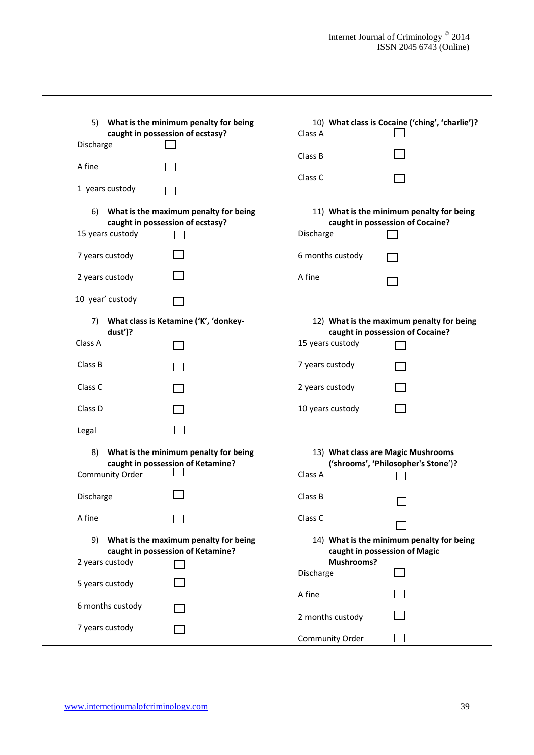| 5)                                                                               | What is the minimum penalty for being                                      |                                                                            | 10) What class is Cocaine ('ching', 'charlie')?                               |  |  |  |  |
|----------------------------------------------------------------------------------|----------------------------------------------------------------------------|----------------------------------------------------------------------------|-------------------------------------------------------------------------------|--|--|--|--|
|                                                                                  | caught in possession of ecstasy?                                           | Class A                                                                    |                                                                               |  |  |  |  |
| Discharge                                                                        |                                                                            | Class B                                                                    |                                                                               |  |  |  |  |
| A fine                                                                           |                                                                            | Class C                                                                    |                                                                               |  |  |  |  |
| 1 years custody                                                                  |                                                                            |                                                                            |                                                                               |  |  |  |  |
| 6)<br>15 years custody                                                           | What is the maximum penalty for being<br>caught in possession of ecstasy?  |                                                                            | 11) What is the minimum penalty for being<br>caught in possession of Cocaine? |  |  |  |  |
| 7 years custody                                                                  |                                                                            | 6 months custody                                                           |                                                                               |  |  |  |  |
| 2 years custody                                                                  |                                                                            | A fine                                                                     |                                                                               |  |  |  |  |
| 10 year' custody                                                                 |                                                                            |                                                                            |                                                                               |  |  |  |  |
| 7)<br>dust')?                                                                    | What class is Ketamine ('K', 'donkey-                                      |                                                                            | 12) What is the maximum penalty for being<br>caught in possession of Cocaine? |  |  |  |  |
| Class A                                                                          |                                                                            | 15 years custody                                                           |                                                                               |  |  |  |  |
| Class B                                                                          |                                                                            | 7 years custody                                                            |                                                                               |  |  |  |  |
| Class C                                                                          |                                                                            | 2 years custody                                                            |                                                                               |  |  |  |  |
| Class D                                                                          |                                                                            | 10 years custody                                                           |                                                                               |  |  |  |  |
| Legal                                                                            |                                                                            |                                                                            |                                                                               |  |  |  |  |
| 8)                                                                               | What is the minimum penalty for being<br>caught in possession of Ketamine? |                                                                            | 13) What class are Magic Mushrooms<br>('shrooms', 'Philosopher's Stone')?     |  |  |  |  |
| Community Order                                                                  |                                                                            | Class A                                                                    |                                                                               |  |  |  |  |
| Discharge                                                                        |                                                                            | Class B                                                                    | ┍                                                                             |  |  |  |  |
| A fine                                                                           |                                                                            | Class C                                                                    |                                                                               |  |  |  |  |
| What is the maximum penalty for being<br>9)<br>caught in possession of Ketamine? |                                                                            | 14) What is the minimum penalty for being<br>caught in possession of Magic |                                                                               |  |  |  |  |
| 2 years custody                                                                  |                                                                            | <b>Mushrooms?</b><br>Discharge                                             |                                                                               |  |  |  |  |
| 5 years custody                                                                  |                                                                            |                                                                            |                                                                               |  |  |  |  |
| 6 months custody                                                                 |                                                                            | A fine                                                                     |                                                                               |  |  |  |  |
|                                                                                  |                                                                            | 2 months custody                                                           |                                                                               |  |  |  |  |
| 7 years custody                                                                  |                                                                            | Community Order                                                            |                                                                               |  |  |  |  |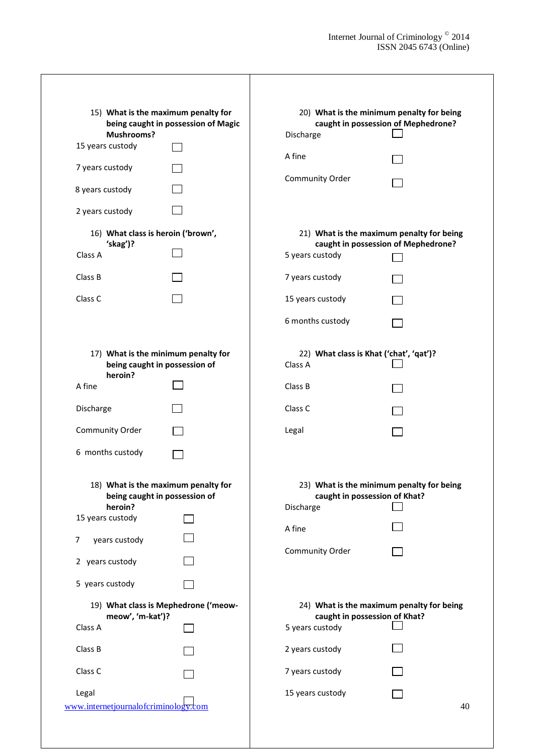| 15) What is the maximum penalty for<br>being caught in possession of Magic<br>Mushrooms? |                                                                      | 20) What is the minimum penalty for being<br>caught in possession of Mephedrone?<br>Discharge |                                                                                  |  |  |  |
|------------------------------------------------------------------------------------------|----------------------------------------------------------------------|-----------------------------------------------------------------------------------------------|----------------------------------------------------------------------------------|--|--|--|
| 15 years custody                                                                         |                                                                      | A fine                                                                                        |                                                                                  |  |  |  |
| 7 years custody                                                                          |                                                                      |                                                                                               |                                                                                  |  |  |  |
| 8 years custody                                                                          |                                                                      | Community Order                                                                               |                                                                                  |  |  |  |
| 2 years custody                                                                          |                                                                      |                                                                                               |                                                                                  |  |  |  |
| 'skag')?                                                                                 | 16) What class is heroin ('brown',                                   |                                                                                               | 21) What is the maximum penalty for being<br>caught in possession of Mephedrone? |  |  |  |
| Class A                                                                                  |                                                                      | 5 years custody                                                                               |                                                                                  |  |  |  |
| Class B                                                                                  |                                                                      | 7 years custody                                                                               |                                                                                  |  |  |  |
| Class C                                                                                  |                                                                      | 15 years custody                                                                              |                                                                                  |  |  |  |
|                                                                                          |                                                                      | 6 months custody                                                                              |                                                                                  |  |  |  |
| heroin?                                                                                  | 17) What is the minimum penalty for<br>being caught in possession of |                                                                                               | 22) What class is Khat ('chat', 'qat')?                                          |  |  |  |
| A fine                                                                                   |                                                                      | Class B                                                                                       |                                                                                  |  |  |  |
| Discharge                                                                                |                                                                      | Class C                                                                                       |                                                                                  |  |  |  |
| Community Order                                                                          |                                                                      | Legal                                                                                         |                                                                                  |  |  |  |
| 6 months custody                                                                         |                                                                      |                                                                                               |                                                                                  |  |  |  |
| heroin?                                                                                  | 18) What is the maximum penalty for<br>being caught in possession of |                                                                                               | 23) What is the minimum penalty for being<br>caught in possession of Khat?       |  |  |  |
| 15 years custody                                                                         |                                                                      | A fine                                                                                        |                                                                                  |  |  |  |
| years custody<br>7<br>2 years custody                                                    |                                                                      | Community Order                                                                               |                                                                                  |  |  |  |
| 5 years custody                                                                          |                                                                      |                                                                                               |                                                                                  |  |  |  |
| 19) What class is Mephedrone ('meow-                                                     |                                                                      | 24) What is the maximum penalty for being                                                     |                                                                                  |  |  |  |
| meow', 'm-kat')?<br>Class A                                                              |                                                                      | 5 years custody                                                                               | caught in possession of Khat?                                                    |  |  |  |
| Class B                                                                                  |                                                                      | 2 years custody                                                                               |                                                                                  |  |  |  |
| Class C                                                                                  |                                                                      | 7 years custody                                                                               |                                                                                  |  |  |  |
| Legal<br>www.internetjournalofcriminology.com                                            |                                                                      | 15 years custody                                                                              | 40                                                                               |  |  |  |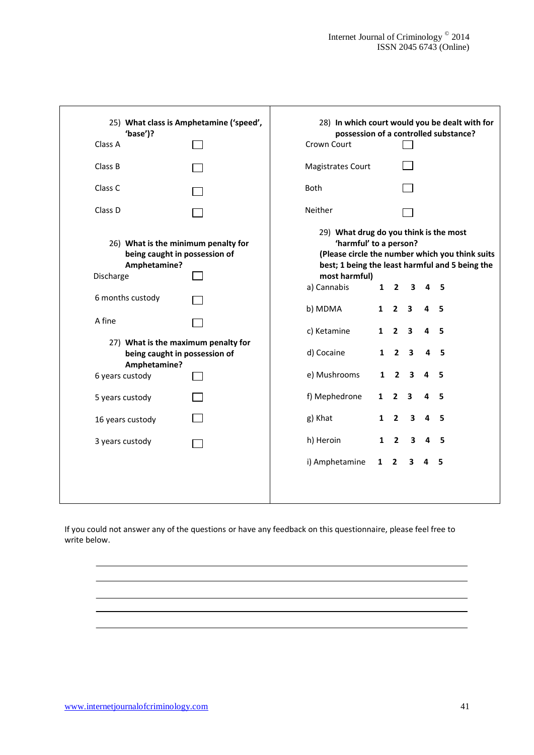| 25) What class is Amphetamine ('speed',<br>'base')? |                                                                                      | 28) In which court would you be dealt with for<br>possession of a controlled substance? |                                                                                                                                                                        |                |                         |                |                |
|-----------------------------------------------------|--------------------------------------------------------------------------------------|-----------------------------------------------------------------------------------------|------------------------------------------------------------------------------------------------------------------------------------------------------------------------|----------------|-------------------------|----------------|----------------|
| Class A                                             |                                                                                      | Crown Court                                                                             |                                                                                                                                                                        |                |                         |                |                |
| Class B                                             |                                                                                      | <b>Magistrates Court</b>                                                                |                                                                                                                                                                        |                |                         |                |                |
| Class C                                             |                                                                                      | <b>Both</b>                                                                             |                                                                                                                                                                        |                |                         |                |                |
| Class D                                             |                                                                                      | <b>Neither</b>                                                                          |                                                                                                                                                                        |                |                         |                |                |
|                                                     | 26) What is the minimum penalty for<br>being caught in possession of<br>Amphetamine? |                                                                                         | 29) What drug do you think is the most<br>'harmful' to a person?<br>(Please circle the number which you think suits<br>best; 1 being the least harmful and 5 being the |                |                         |                |                |
| Discharge                                           |                                                                                      | most harmful)<br>a) Cannabis                                                            | $\mathbf{1}$                                                                                                                                                           | $\overline{2}$ | 3                       | 4              | 5              |
| 6 months custody                                    |                                                                                      | b) MDMA                                                                                 | $\mathbf{1}$                                                                                                                                                           | $\overline{2}$ | $\mathbf{3}$            |                | 4 <sub>5</sub> |
| A fine                                              |                                                                                      | c) Ketamine                                                                             | 1                                                                                                                                                                      | $2^{\circ}$    | $\mathbf{3}$            | 4              | 5              |
| Amphetamine?                                        | 27) What is the maximum penalty for<br>being caught in possession of                 | d) Cocaine                                                                              | $\mathbf{1}$                                                                                                                                                           | $\overline{2}$ | $\mathbf{3}$            | 4              | 5              |
| 6 years custody                                     |                                                                                      | e) Mushrooms                                                                            | $\mathbf{1}$                                                                                                                                                           | $\overline{2}$ | $\overline{\mathbf{3}}$ | $\overline{4}$ | -5             |
| 5 years custody                                     |                                                                                      | f) Mephedrone                                                                           | $\mathbf{1}$                                                                                                                                                           | $\mathbf{2}$   | 3                       | 4              | 5              |
| 16 years custody                                    |                                                                                      | g) Khat                                                                                 | 1                                                                                                                                                                      | $\overline{2}$ | $\mathbf{3}$            |                | 4 <sub>5</sub> |
| 3 years custody                                     |                                                                                      | h) Heroin                                                                               | $\mathbf{1}$                                                                                                                                                           | $\overline{2}$ | $\mathbf{3}$            | $\overline{4}$ | - 5            |
|                                                     |                                                                                      | i) Amphetamine                                                                          | $\mathbf{1}$                                                                                                                                                           | $\overline{2}$ | 3                       | 4 <sub>5</sub> |                |
|                                                     |                                                                                      |                                                                                         |                                                                                                                                                                        |                |                         |                |                |

If you could not answer any of the questions or have any feedback on this questionnaire, please feel free to write below.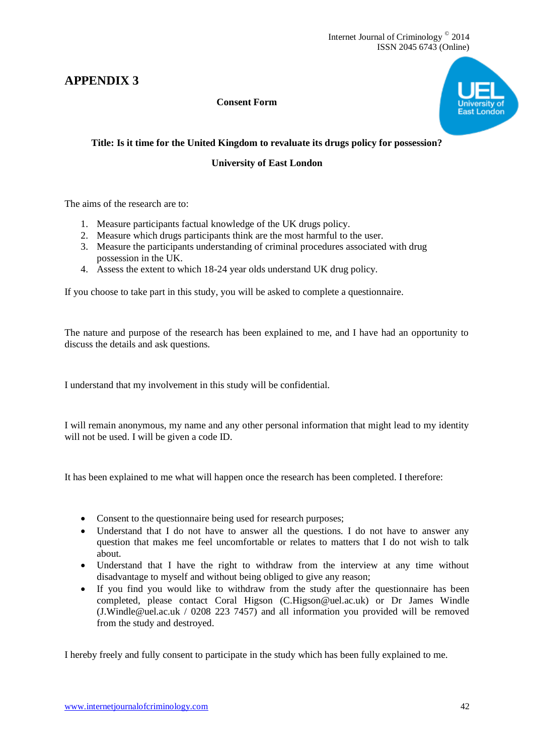## **APPENDIX 3**

## **Consent Form**



## **Title: Is it time for the United Kingdom to revaluate its drugs policy for possession?**

### **University of East London**

The aims of the research are to:

- 1. Measure participants factual knowledge of the UK drugs policy.
- 2. Measure which drugs participants think are the most harmful to the user.
- 3. Measure the participants understanding of criminal procedures associated with drug possession in the UK.
- 4. Assess the extent to which 18-24 year olds understand UK drug policy.

If you choose to take part in this study, you will be asked to complete a questionnaire.

The nature and purpose of the research has been explained to me, and I have had an opportunity to discuss the details and ask questions.

I understand that my involvement in this study will be confidential.

I will remain anonymous, my name and any other personal information that might lead to my identity will not be used. I will be given a code ID.

It has been explained to me what will happen once the research has been completed. I therefore:

- Consent to the questionnaire being used for research purposes;
- Understand that I do not have to answer all the questions. I do not have to answer any question that makes me feel uncomfortable or relates to matters that I do not wish to talk about.
- Understand that I have the right to withdraw from the interview at any time without disadvantage to myself and without being obliged to give any reason;
- If you find you would like to withdraw from the study after the questionnaire has been completed, please contact Coral Higson (C.Higson@uel.ac.uk) or Dr James Windle (J.Windle@uel.ac.uk / 0208 223 7457) and all information you provided will be removed from the study and destroyed.

I hereby freely and fully consent to participate in the study which has been fully explained to me.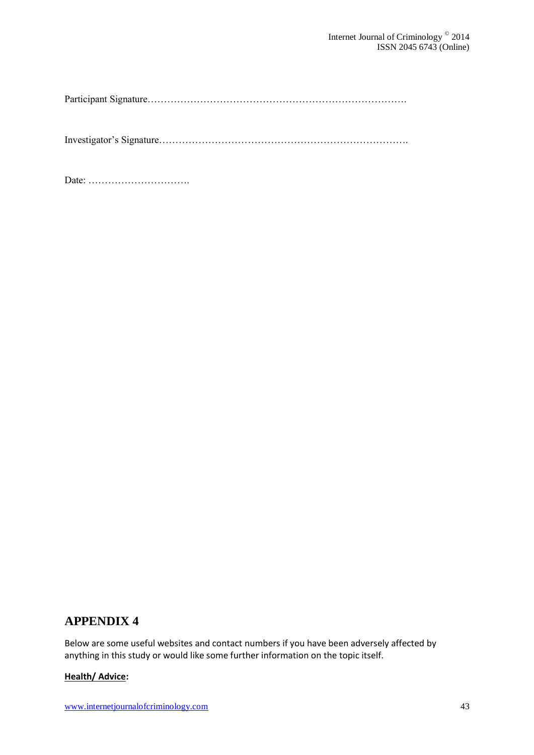Participant Signature…………………………………………………………………….

Investigator's Signature………………………………………………………………….

Date: ………………………….

## **APPENDIX 4**

Below are some useful websites and contact numbers if you have been adversely affected by anything in this study or would like some further information on the topic itself.

## **Health/ Advice:**